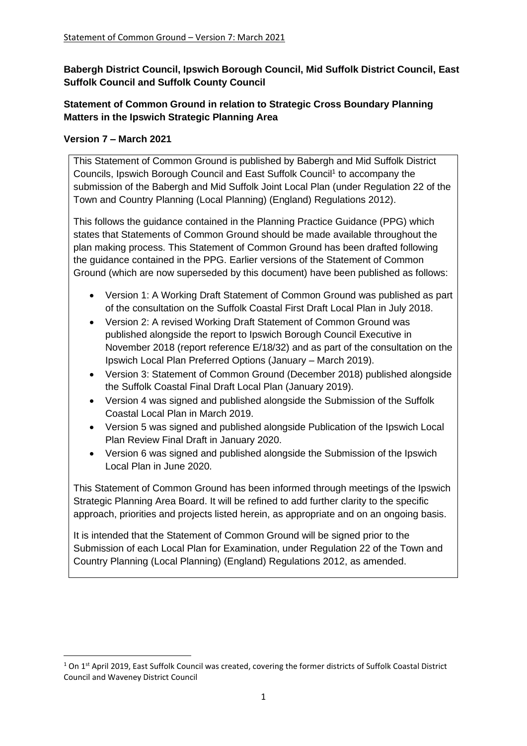**Babergh District Council, Ipswich Borough Council, Mid Suffolk District Council, East Suffolk Council and Suffolk County Council**

# **Statement of Common Ground in relation to Strategic Cross Boundary Planning Matters in the Ipswich Strategic Planning Area**

## **Version 7 – March 2021**

This Statement of Common Ground is published by Babergh and Mid Suffolk District Councils, Ipswich Borough Council and East Suffolk Council<sup>1</sup> to accompany the submission of the Babergh and Mid Suffolk Joint Local Plan (under Regulation 22 of the Town and Country Planning (Local Planning) (England) Regulations 2012).

This follows the guidance contained in the Planning Practice Guidance (PPG) which states that Statements of Common Ground should be made available throughout the plan making process. This Statement of Common Ground has been drafted following the guidance contained in the PPG. Earlier versions of the Statement of Common Ground (which are now superseded by this document) have been published as follows:

- Version 1: A Working Draft Statement of Common Ground was published as part of the consultation on the Suffolk Coastal First Draft Local Plan in July 2018.
- Version 2: A revised Working Draft Statement of Common Ground was published alongside the report to Ipswich Borough Council Executive in November 2018 (report reference E/18/32) and as part of the consultation on the Ipswich Local Plan Preferred Options (January – March 2019).
- Version 3: Statement of Common Ground (December 2018) published alongside the Suffolk Coastal Final Draft Local Plan (January 2019).
- Version 4 was signed and published alongside the Submission of the Suffolk Coastal Local Plan in March 2019.
- Version 5 was signed and published alongside Publication of the Ipswich Local Plan Review Final Draft in January 2020.
- Version 6 was signed and published alongside the Submission of the Ipswich Local Plan in June 2020.

This Statement of Common Ground has been informed through meetings of the Ipswich Strategic Planning Area Board. It will be refined to add further clarity to the specific approach, priorities and projects listed herein, as appropriate and on an ongoing basis.

It is intended that the Statement of Common Ground will be signed prior to the Submission of each Local Plan for Examination, under Regulation 22 of the Town and Country Planning (Local Planning) (England) Regulations 2012, as amended.

 $1$  On  $1$ <sup>st</sup> April 2019, East Suffolk Council was created, covering the former districts of Suffolk Coastal District Council and Waveney District Council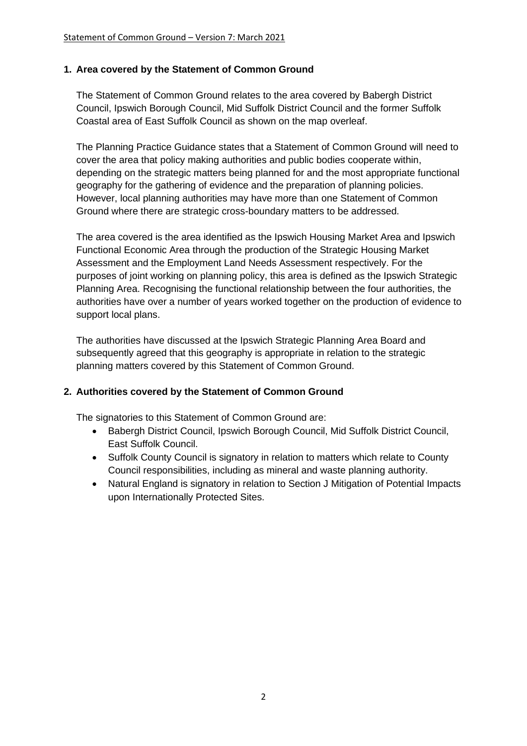### **1. Area covered by the Statement of Common Ground**

The Statement of Common Ground relates to the area covered by Babergh District Council, Ipswich Borough Council, Mid Suffolk District Council and the former Suffolk Coastal area of East Suffolk Council as shown on the map overleaf.

The Planning Practice Guidance states that a Statement of Common Ground will need to cover the area that policy making authorities and public bodies cooperate within, depending on the strategic matters being planned for and the most appropriate functional geography for the gathering of evidence and the preparation of planning policies. However, local planning authorities may have more than one Statement of Common Ground where there are strategic cross-boundary matters to be addressed.

The area covered is the area identified as the Ipswich Housing Market Area and Ipswich Functional Economic Area through the production of the Strategic Housing Market Assessment and the Employment Land Needs Assessment respectively. For the purposes of joint working on planning policy, this area is defined as the Ipswich Strategic Planning Area. Recognising the functional relationship between the four authorities, the authorities have over a number of years worked together on the production of evidence to support local plans.

The authorities have discussed at the Ipswich Strategic Planning Area Board and subsequently agreed that this geography is appropriate in relation to the strategic planning matters covered by this Statement of Common Ground.

## **2. Authorities covered by the Statement of Common Ground**

The signatories to this Statement of Common Ground are:

- Babergh District Council, Ipswich Borough Council, Mid Suffolk District Council, East Suffolk Council.
- Suffolk County Council is signatory in relation to matters which relate to County Council responsibilities, including as mineral and waste planning authority.
- Natural England is signatory in relation to Section J Mitigation of Potential Impacts upon Internationally Protected Sites.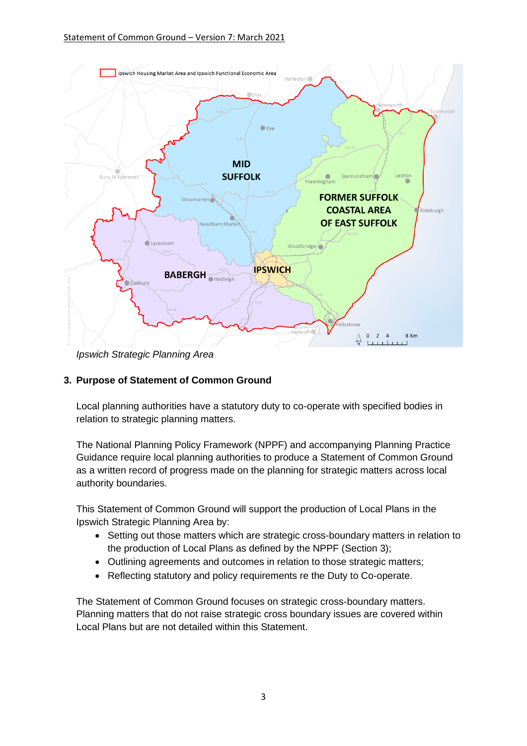

*Ipswich Strategic Planning Area*

# **3. Purpose of Statement of Common Ground**

Local planning authorities have a statutory duty to co-operate with specified bodies in relation to strategic planning matters.

The National Planning Policy Framework (NPPF) and accompanying Planning Practice Guidance require local planning authorities to produce a Statement of Common Ground as a written record of progress made on the planning for strategic matters across local authority boundaries.

This Statement of Common Ground will support the production of Local Plans in the Ipswich Strategic Planning Area by:

- Setting out those matters which are strategic cross-boundary matters in relation to the production of Local Plans as defined by the NPPF (Section 3);
- Outlining agreements and outcomes in relation to those strategic matters;
- Reflecting statutory and policy requirements re the Duty to Co-operate.

The Statement of Common Ground focuses on strategic cross-boundary matters. Planning matters that do not raise strategic cross boundary issues are covered within Local Plans but are not detailed within this Statement.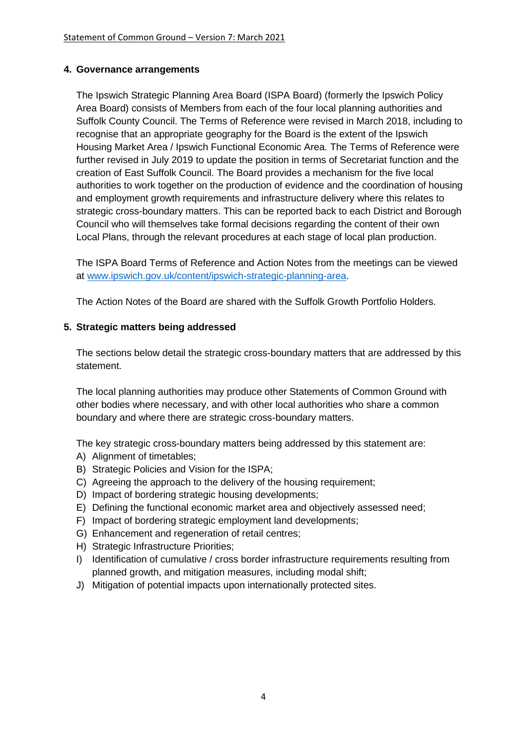### **4. Governance arrangements**

The Ipswich Strategic Planning Area Board (ISPA Board) (formerly the Ipswich Policy Area Board) consists of Members from each of the four local planning authorities and Suffolk County Council. The Terms of Reference were revised in March 2018, including to recognise that an appropriate geography for the Board is the extent of the Ipswich Housing Market Area / Ipswich Functional Economic Area. The Terms of Reference were further revised in July 2019 to update the position in terms of Secretariat function and the creation of East Suffolk Council. The Board provides a mechanism for the five local authorities to work together on the production of evidence and the coordination of housing and employment growth requirements and infrastructure delivery where this relates to strategic cross-boundary matters. This can be reported back to each District and Borough Council who will themselves take formal decisions regarding the content of their own Local Plans, through the relevant procedures at each stage of local plan production.

The ISPA Board Terms of Reference and Action Notes from the meetings can be viewed at [www.ipswich.gov.uk/content/ipswich-strategic-planning-area.](http://www.ipswich.gov.uk/content/ipswich-strategic-planning-area)

The Action Notes of the Board are shared with the Suffolk Growth Portfolio Holders.

### **5. Strategic matters being addressed**

The sections below detail the strategic cross-boundary matters that are addressed by this statement.

The local planning authorities may produce other Statements of Common Ground with other bodies where necessary, and with other local authorities who share a common boundary and where there are strategic cross-boundary matters.

The key strategic cross-boundary matters being addressed by this statement are:

- A) Alignment of timetables;
- B) Strategic Policies and Vision for the ISPA;
- C) Agreeing the approach to the delivery of the housing requirement;
- D) Impact of bordering strategic housing developments;
- E) Defining the functional economic market area and objectively assessed need;
- F) Impact of bordering strategic employment land developments;
- G) Enhancement and regeneration of retail centres;
- H) Strategic Infrastructure Priorities;
- I) Identification of cumulative / cross border infrastructure requirements resulting from planned growth, and mitigation measures, including modal shift;
- J) Mitigation of potential impacts upon internationally protected sites.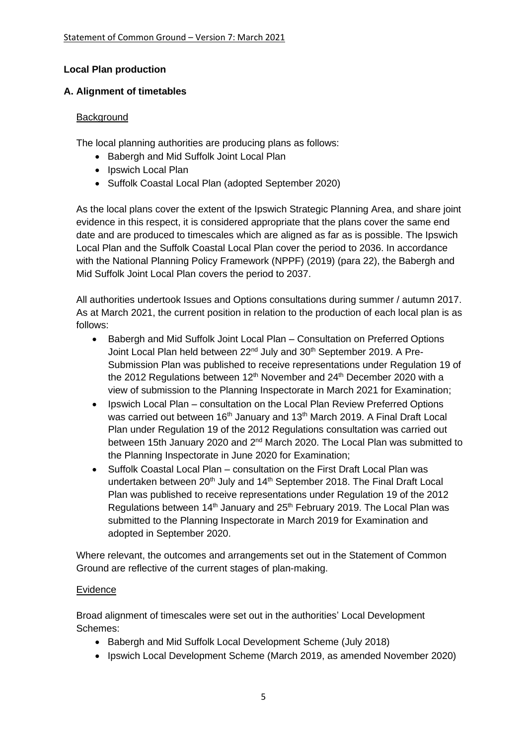## **Local Plan production**

### **A. Alignment of timetables**

### **Background**

The local planning authorities are producing plans as follows:

- Babergh and Mid Suffolk Joint Local Plan
- Ipswich Local Plan
- Suffolk Coastal Local Plan (adopted September 2020)

As the local plans cover the extent of the Ipswich Strategic Planning Area, and share joint evidence in this respect, it is considered appropriate that the plans cover the same end date and are produced to timescales which are aligned as far as is possible. The Ipswich Local Plan and the Suffolk Coastal Local Plan cover the period to 2036. In accordance with the National Planning Policy Framework (NPPF) (2019) (para 22), the Babergh and Mid Suffolk Joint Local Plan covers the period to 2037.

All authorities undertook Issues and Options consultations during summer / autumn 2017. As at March 2021, the current position in relation to the production of each local plan is as follows:

- Babergh and Mid Suffolk Joint Local Plan Consultation on Preferred Options Joint Local Plan held between 22<sup>nd</sup> July and 30<sup>th</sup> September 2019. A Pre-Submission Plan was published to receive representations under Regulation 19 of the 2012 Regulations between 12<sup>th</sup> November and 24<sup>th</sup> December 2020 with a view of submission to the Planning Inspectorate in March 2021 for Examination;
- Ipswich Local Plan consultation on the Local Plan Review Preferred Options was carried out between 16<sup>th</sup> January and 13<sup>th</sup> March 2019. A Final Draft Local Plan under Regulation 19 of the 2012 Regulations consultation was carried out between 15th January 2020 and 2<sup>nd</sup> March 2020. The Local Plan was submitted to the Planning Inspectorate in June 2020 for Examination;
- Suffolk Coastal Local Plan consultation on the First Draft Local Plan was undertaken between 20<sup>th</sup> July and 14<sup>th</sup> September 2018. The Final Draft Local Plan was published to receive representations under Regulation 19 of the 2012 Regulations between 14<sup>th</sup> January and 25<sup>th</sup> February 2019. The Local Plan was submitted to the Planning Inspectorate in March 2019 for Examination and adopted in September 2020.

Where relevant, the outcomes and arrangements set out in the Statement of Common Ground are reflective of the current stages of plan-making.

## Evidence

Broad alignment of timescales were set out in the authorities' Local Development Schemes:

- Babergh and Mid Suffolk Local Development Scheme (July 2018)
- Ipswich Local Development Scheme (March 2019, as amended November 2020)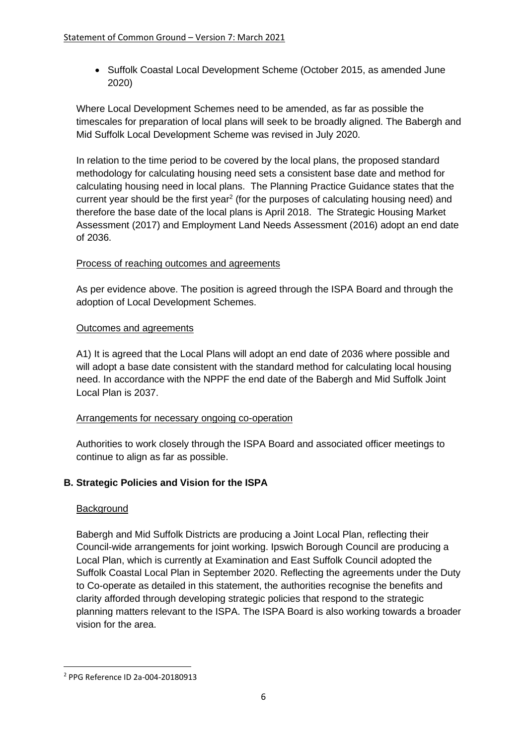• Suffolk Coastal Local Development Scheme (October 2015, as amended June 2020)

Where Local Development Schemes need to be amended, as far as possible the timescales for preparation of local plans will seek to be broadly aligned. The Babergh and Mid Suffolk Local Development Scheme was revised in July 2020.

In relation to the time period to be covered by the local plans, the proposed standard methodology for calculating housing need sets a consistent base date and method for calculating housing need in local plans. The Planning Practice Guidance states that the current year should be the first year<sup>2</sup> (for the purposes of calculating housing need) and therefore the base date of the local plans is April 2018. The Strategic Housing Market Assessment (2017) and Employment Land Needs Assessment (2016) adopt an end date of 2036.

## Process of reaching outcomes and agreements

As per evidence above. The position is agreed through the ISPA Board and through the adoption of Local Development Schemes.

### Outcomes and agreements

A1) It is agreed that the Local Plans will adopt an end date of 2036 where possible and will adopt a base date consistent with the standard method for calculating local housing need. In accordance with the NPPF the end date of the Babergh and Mid Suffolk Joint Local Plan is 2037.

## Arrangements for necessary ongoing co-operation

Authorities to work closely through the ISPA Board and associated officer meetings to continue to align as far as possible.

## **B. Strategic Policies and Vision for the ISPA**

## Background

Babergh and Mid Suffolk Districts are producing a Joint Local Plan, reflecting their Council-wide arrangements for joint working. Ipswich Borough Council are producing a Local Plan, which is currently at Examination and East Suffolk Council adopted the Suffolk Coastal Local Plan in September 2020. Reflecting the agreements under the Duty to Co-operate as detailed in this statement, the authorities recognise the benefits and clarity afforded through developing strategic policies that respond to the strategic planning matters relevant to the ISPA. The ISPA Board is also working towards a broader vision for the area.

<sup>2</sup> PPG Reference ID 2a-004-20180913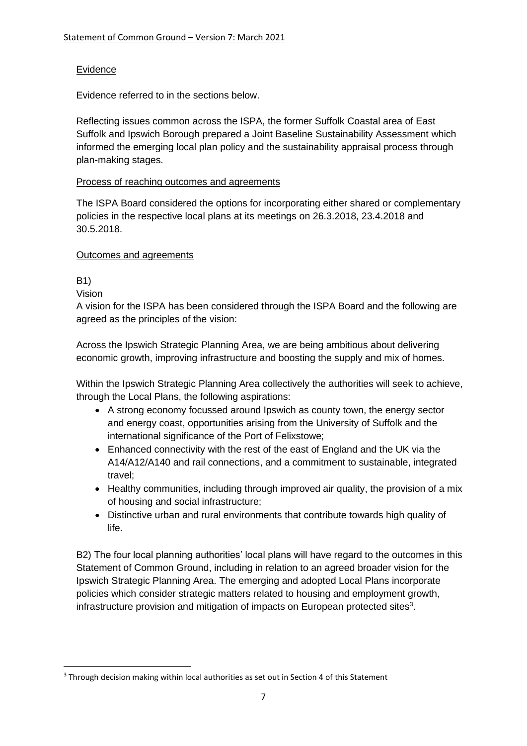# **Evidence**

Evidence referred to in the sections below.

Reflecting issues common across the ISPA, the former Suffolk Coastal area of East Suffolk and Ipswich Borough prepared a Joint Baseline Sustainability Assessment which informed the emerging local plan policy and the sustainability appraisal process through plan-making stages.

## Process of reaching outcomes and agreements

The ISPA Board considered the options for incorporating either shared or complementary policies in the respective local plans at its meetings on 26.3.2018, 23.4.2018 and 30.5.2018.

## Outcomes and agreements

B1)

Vision

A vision for the ISPA has been considered through the ISPA Board and the following are agreed as the principles of the vision:

Across the Ipswich Strategic Planning Area, we are being ambitious about delivering economic growth, improving infrastructure and boosting the supply and mix of homes.

Within the Ipswich Strategic Planning Area collectively the authorities will seek to achieve, through the Local Plans, the following aspirations:

- A strong economy focussed around Ipswich as county town, the energy sector and energy coast, opportunities arising from the University of Suffolk and the international significance of the Port of Felixstowe;
- Enhanced connectivity with the rest of the east of England and the UK via the A14/A12/A140 and rail connections, and a commitment to sustainable, integrated travel;
- Healthy communities, including through improved air quality, the provision of a mix of housing and social infrastructure;
- Distinctive urban and rural environments that contribute towards high quality of life.

B2) The four local planning authorities' local plans will have regard to the outcomes in this Statement of Common Ground, including in relation to an agreed broader vision for the Ipswich Strategic Planning Area. The emerging and adopted Local Plans incorporate policies which consider strategic matters related to housing and employment growth, infrastructure provision and mitigation of impacts on European protected sites<sup>3</sup>.

<sup>&</sup>lt;sup>3</sup> Through decision making within local authorities as set out in Section 4 of this Statement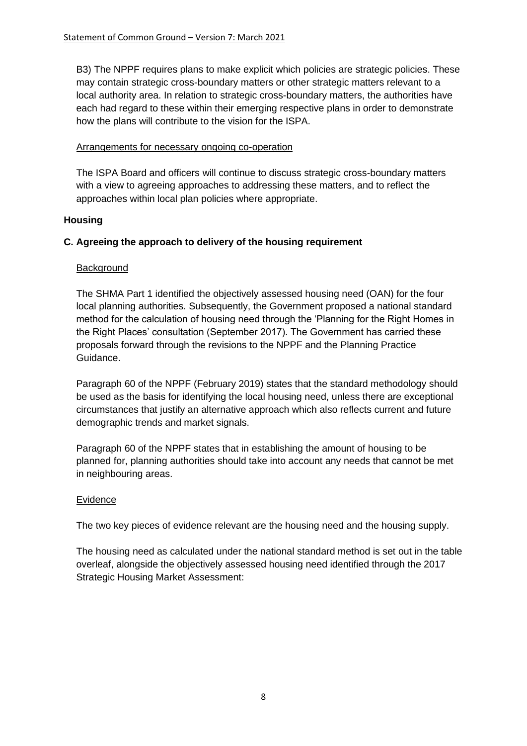B3) The NPPF requires plans to make explicit which policies are strategic policies. These may contain strategic cross-boundary matters or other strategic matters relevant to a local authority area. In relation to strategic cross-boundary matters, the authorities have each had regard to these within their emerging respective plans in order to demonstrate how the plans will contribute to the vision for the ISPA.

### Arrangements for necessary ongoing co-operation

The ISPA Board and officers will continue to discuss strategic cross-boundary matters with a view to agreeing approaches to addressing these matters, and to reflect the approaches within local plan policies where appropriate.

## **Housing**

## **C. Agreeing the approach to delivery of the housing requirement**

### **Background**

The SHMA Part 1 identified the objectively assessed housing need (OAN) for the four local planning authorities. Subsequently, the Government proposed a national standard method for the calculation of housing need through the 'Planning for the Right Homes in the Right Places' consultation (September 2017). The Government has carried these proposals forward through the revisions to the NPPF and the Planning Practice Guidance.

Paragraph 60 of the NPPF (February 2019) states that the standard methodology should be used as the basis for identifying the local housing need, unless there are exceptional circumstances that justify an alternative approach which also reflects current and future demographic trends and market signals.

Paragraph 60 of the NPPF states that in establishing the amount of housing to be planned for, planning authorities should take into account any needs that cannot be met in neighbouring areas.

#### Evidence

The two key pieces of evidence relevant are the housing need and the housing supply.

The housing need as calculated under the national standard method is set out in the table overleaf, alongside the objectively assessed housing need identified through the 2017 Strategic Housing Market Assessment: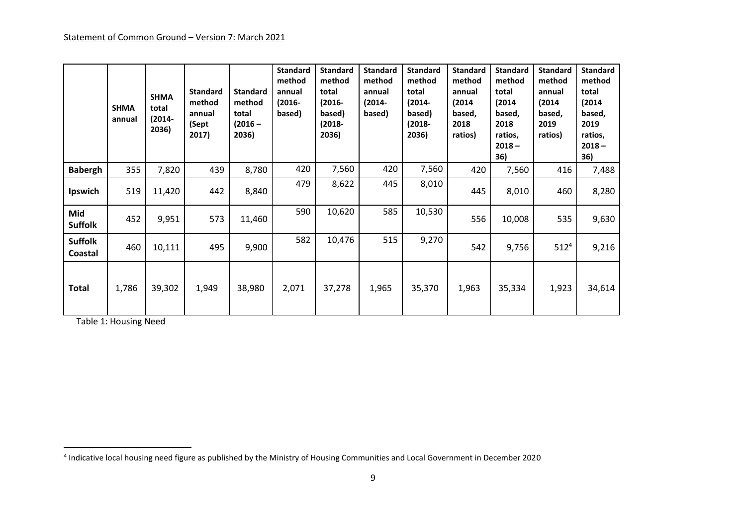|                           | <b>SHMA</b><br>annual | <b>SHMA</b><br>total<br>(2014-<br>2036) | <b>Standard</b><br>method<br>annual<br>(Sept<br>2017) | <b>Standard</b><br>method<br>total<br>$(2016 -$<br>2036) | <b>Standard</b><br>method<br>annual<br>$(2016 -$<br>based) | <b>Standard</b><br>method<br>total<br>$(2016 -$<br>based)<br>(2018-<br>2036) | <b>Standard</b><br>method<br>annual<br>(2014-<br>based) | <b>Standard</b><br>method<br>total<br>$(2014 -$<br>based)<br>(2018-<br>2036) | <b>Standard</b><br>method<br>annual<br>(2014)<br>based,<br>2018<br>ratios) | <b>Standard</b><br>method<br>total<br>(2014)<br>based,<br>2018<br>ratios,<br>$2018 -$<br>36) | <b>Standard</b><br>method<br>annual<br>(2014)<br>based,<br>2019<br>ratios) | <b>Standard</b><br>method<br>total<br>(2014)<br>based,<br>2019<br>ratios,<br>$2018 -$<br>36) |
|---------------------------|-----------------------|-----------------------------------------|-------------------------------------------------------|----------------------------------------------------------|------------------------------------------------------------|------------------------------------------------------------------------------|---------------------------------------------------------|------------------------------------------------------------------------------|----------------------------------------------------------------------------|----------------------------------------------------------------------------------------------|----------------------------------------------------------------------------|----------------------------------------------------------------------------------------------|
| <b>Babergh</b>            | 355                   | 7,820                                   | 439                                                   | 8,780                                                    | 420                                                        | 7,560                                                                        | 420                                                     | 7,560                                                                        | 420                                                                        | 7,560                                                                                        | 416                                                                        | 7,488                                                                                        |
| Ipswich                   | 519                   | 11,420                                  | 442                                                   | 8,840                                                    | 479                                                        | 8,622                                                                        | 445                                                     | 8,010                                                                        | 445                                                                        | 8,010                                                                                        | 460                                                                        | 8,280                                                                                        |
| Mid<br><b>Suffolk</b>     | 452                   | 9,951                                   | 573                                                   | 11,460                                                   | 590                                                        | 10,620                                                                       | 585                                                     | 10,530                                                                       | 556                                                                        | 10,008                                                                                       | 535                                                                        | 9,630                                                                                        |
| <b>Suffolk</b><br>Coastal | 460                   | 10,111                                  | 495                                                   | 9,900                                                    | 582                                                        | 10,476                                                                       | 515                                                     | 9,270                                                                        | 542                                                                        | 9,756                                                                                        | $512^{4}$                                                                  | 9,216                                                                                        |
| Total                     | 1,786                 | 39,302                                  | 1,949                                                 | 38,980                                                   | 2,071                                                      | 37,278                                                                       | 1,965                                                   | 35,370                                                                       | 1,963                                                                      | 35,334                                                                                       | 1,923                                                                      | 34,614                                                                                       |

Table 1: Housing Need

<sup>4</sup> Indicative local housing need figure as published by the Ministry of Housing Communities and Local Government in December 2020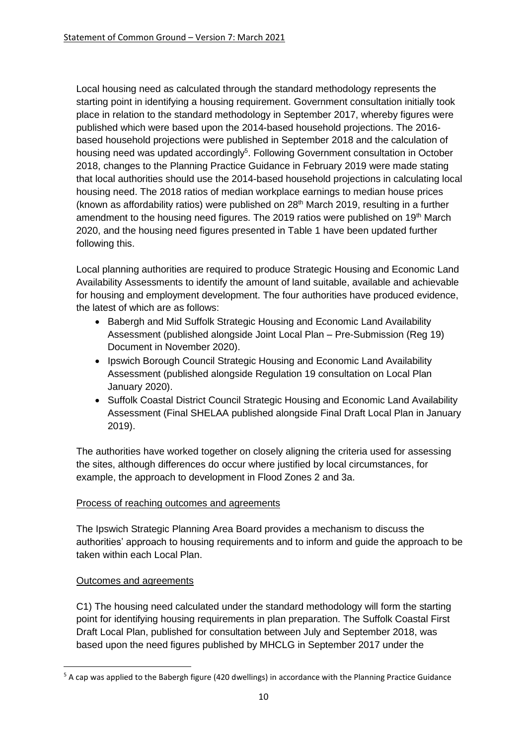Local housing need as calculated through the standard methodology represents the starting point in identifying a housing requirement. Government consultation initially took place in relation to the standard methodology in September 2017, whereby figures were published which were based upon the 2014-based household projections. The 2016 based household projections were published in September 2018 and the calculation of housing need was updated accordingly<sup>5</sup>. Following Government consultation in October 2018, changes to the Planning Practice Guidance in February 2019 were made stating that local authorities should use the 2014-based household projections in calculating local housing need. The 2018 ratios of median workplace earnings to median house prices (known as affordability ratios) were published on  $28<sup>th</sup>$  March 2019, resulting in a further amendment to the housing need figures. The 2019 ratios were published on 19<sup>th</sup> March 2020, and the housing need figures presented in Table 1 have been updated further following this.

Local planning authorities are required to produce Strategic Housing and Economic Land Availability Assessments to identify the amount of land suitable, available and achievable for housing and employment development. The four authorities have produced evidence, the latest of which are as follows:

- Babergh and Mid Suffolk Strategic Housing and Economic Land Availability Assessment (published alongside Joint Local Plan – Pre-Submission (Reg 19) Document in November 2020).
- Ipswich Borough Council Strategic Housing and Economic Land Availability Assessment (published alongside Regulation 19 consultation on Local Plan January 2020).
- Suffolk Coastal District Council Strategic Housing and Economic Land Availability Assessment (Final SHELAA published alongside Final Draft Local Plan in January 2019).

The authorities have worked together on closely aligning the criteria used for assessing the sites, although differences do occur where justified by local circumstances, for example, the approach to development in Flood Zones 2 and 3a.

## Process of reaching outcomes and agreements

The Ipswich Strategic Planning Area Board provides a mechanism to discuss the authorities' approach to housing requirements and to inform and guide the approach to be taken within each Local Plan.

## Outcomes and agreements

C1) The housing need calculated under the standard methodology will form the starting point for identifying housing requirements in plan preparation. The Suffolk Coastal First Draft Local Plan, published for consultation between July and September 2018, was based upon the need figures published by MHCLG in September 2017 under the

<sup>5</sup> A cap was applied to the Babergh figure (420 dwellings) in accordance with the Planning Practice Guidance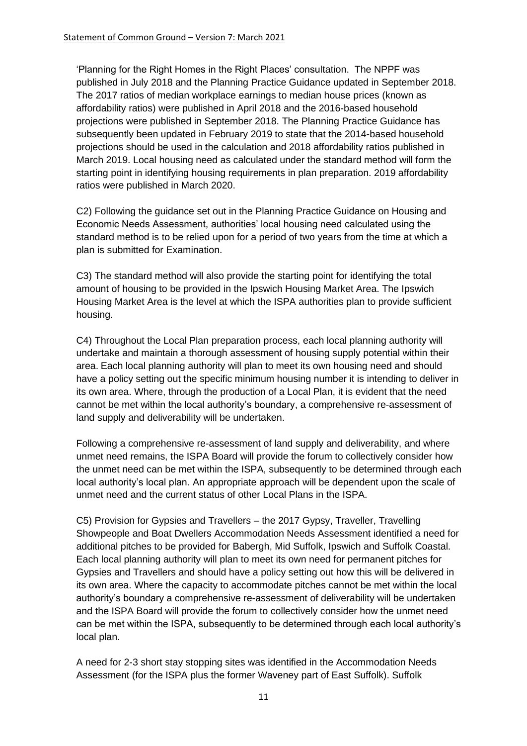'Planning for the Right Homes in the Right Places' consultation. The NPPF was published in July 2018 and the Planning Practice Guidance updated in September 2018. The 2017 ratios of median workplace earnings to median house prices (known as affordability ratios) were published in April 2018 and the 2016-based household projections were published in September 2018. The Planning Practice Guidance has subsequently been updated in February 2019 to state that the 2014-based household projections should be used in the calculation and 2018 affordability ratios published in March 2019. Local housing need as calculated under the standard method will form the starting point in identifying housing requirements in plan preparation. 2019 affordability ratios were published in March 2020.

C2) Following the guidance set out in the Planning Practice Guidance on Housing and Economic Needs Assessment, authorities' local housing need calculated using the standard method is to be relied upon for a period of two years from the time at which a plan is submitted for Examination.

C3) The standard method will also provide the starting point for identifying the total amount of housing to be provided in the Ipswich Housing Market Area. The Ipswich Housing Market Area is the level at which the ISPA authorities plan to provide sufficient housing.

C4) Throughout the Local Plan preparation process, each local planning authority will undertake and maintain a thorough assessment of housing supply potential within their area. Each local planning authority will plan to meet its own housing need and should have a policy setting out the specific minimum housing number it is intending to deliver in its own area. Where, through the production of a Local Plan, it is evident that the need cannot be met within the local authority's boundary, a comprehensive re-assessment of land supply and deliverability will be undertaken.

Following a comprehensive re-assessment of land supply and deliverability, and where unmet need remains, the ISPA Board will provide the forum to collectively consider how the unmet need can be met within the ISPA, subsequently to be determined through each local authority's local plan. An appropriate approach will be dependent upon the scale of unmet need and the current status of other Local Plans in the ISPA.

C5) Provision for Gypsies and Travellers – the 2017 Gypsy, Traveller, Travelling Showpeople and Boat Dwellers Accommodation Needs Assessment identified a need for additional pitches to be provided for Babergh, Mid Suffolk, Ipswich and Suffolk Coastal. Each local planning authority will plan to meet its own need for permanent pitches for Gypsies and Travellers and should have a policy setting out how this will be delivered in its own area. Where the capacity to accommodate pitches cannot be met within the local authority's boundary a comprehensive re-assessment of deliverability will be undertaken and the ISPA Board will provide the forum to collectively consider how the unmet need can be met within the ISPA, subsequently to be determined through each local authority's local plan.

A need for 2-3 short stay stopping sites was identified in the Accommodation Needs Assessment (for the ISPA plus the former Waveney part of East Suffolk). Suffolk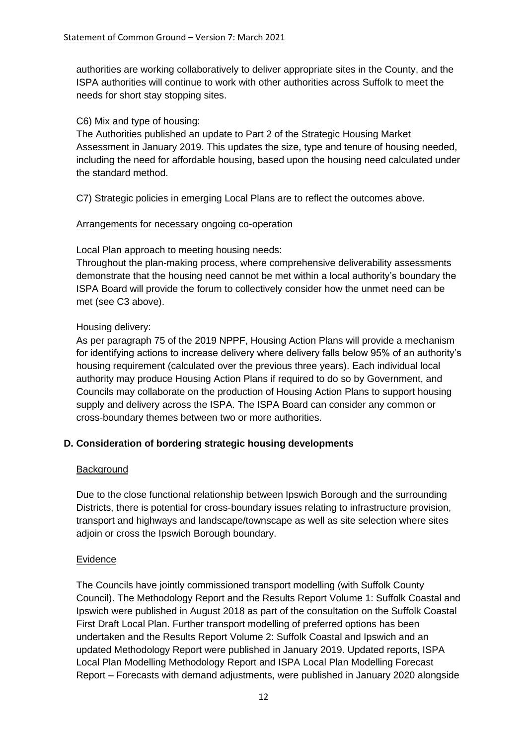authorities are working collaboratively to deliver appropriate sites in the County, and the ISPA authorities will continue to work with other authorities across Suffolk to meet the needs for short stay stopping sites.

### C6) Mix and type of housing:

The Authorities published an update to Part 2 of the Strategic Housing Market Assessment in January 2019. This updates the size, type and tenure of housing needed, including the need for affordable housing, based upon the housing need calculated under the standard method.

C7) Strategic policies in emerging Local Plans are to reflect the outcomes above.

#### Arrangements for necessary ongoing co-operation

Local Plan approach to meeting housing needs:

Throughout the plan-making process, where comprehensive deliverability assessments demonstrate that the housing need cannot be met within a local authority's boundary the ISPA Board will provide the forum to collectively consider how the unmet need can be met (see C3 above).

### Housing delivery:

As per paragraph 75 of the 2019 NPPF, Housing Action Plans will provide a mechanism for identifying actions to increase delivery where delivery falls below 95% of an authority's housing requirement (calculated over the previous three years). Each individual local authority may produce Housing Action Plans if required to do so by Government, and Councils may collaborate on the production of Housing Action Plans to support housing supply and delivery across the ISPA. The ISPA Board can consider any common or cross-boundary themes between two or more authorities.

## **D. Consideration of bordering strategic housing developments**

#### Background

Due to the close functional relationship between Ipswich Borough and the surrounding Districts, there is potential for cross-boundary issues relating to infrastructure provision, transport and highways and landscape/townscape as well as site selection where sites adjoin or cross the Ipswich Borough boundary.

#### Evidence

The Councils have jointly commissioned transport modelling (with Suffolk County Council). The Methodology Report and the Results Report Volume 1: Suffolk Coastal and Ipswich were published in August 2018 as part of the consultation on the Suffolk Coastal First Draft Local Plan. Further transport modelling of preferred options has been undertaken and the Results Report Volume 2: Suffolk Coastal and Ipswich and an updated Methodology Report were published in January 2019. Updated reports, ISPA Local Plan Modelling Methodology Report and ISPA Local Plan Modelling Forecast Report – Forecasts with demand adjustments, were published in January 2020 alongside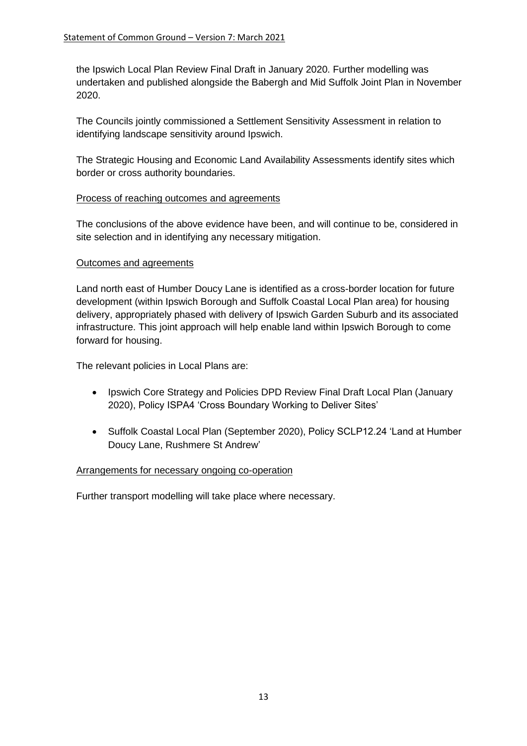the Ipswich Local Plan Review Final Draft in January 2020. Further modelling was undertaken and published alongside the Babergh and Mid Suffolk Joint Plan in November 2020.

The Councils jointly commissioned a Settlement Sensitivity Assessment in relation to identifying landscape sensitivity around Ipswich.

The Strategic Housing and Economic Land Availability Assessments identify sites which border or cross authority boundaries.

### Process of reaching outcomes and agreements

The conclusions of the above evidence have been, and will continue to be, considered in site selection and in identifying any necessary mitigation.

### Outcomes and agreements

Land north east of Humber Doucy Lane is identified as a cross-border location for future development (within Ipswich Borough and Suffolk Coastal Local Plan area) for housing delivery, appropriately phased with delivery of Ipswich Garden Suburb and its associated infrastructure. This joint approach will help enable land within Ipswich Borough to come forward for housing.

The relevant policies in Local Plans are:

- Ipswich Core Strategy and Policies DPD Review Final Draft Local Plan (January 2020), Policy ISPA4 'Cross Boundary Working to Deliver Sites'
- Suffolk Coastal Local Plan (September 2020), Policy SCLP12.24 'Land at Humber Doucy Lane, Rushmere St Andrew'

#### Arrangements for necessary ongoing co-operation

Further transport modelling will take place where necessary.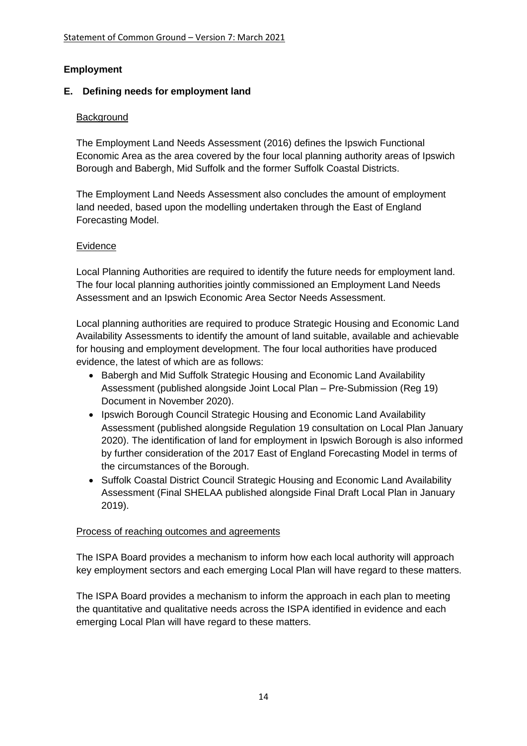## **Employment**

## **E. Defining needs for employment land**

## **Background**

The Employment Land Needs Assessment (2016) defines the Ipswich Functional Economic Area as the area covered by the four local planning authority areas of Ipswich Borough and Babergh, Mid Suffolk and the former Suffolk Coastal Districts.

The Employment Land Needs Assessment also concludes the amount of employment land needed, based upon the modelling undertaken through the East of England Forecasting Model.

## Evidence

Local Planning Authorities are required to identify the future needs for employment land. The four local planning authorities jointly commissioned an Employment Land Needs Assessment and an Ipswich Economic Area Sector Needs Assessment.

Local planning authorities are required to produce Strategic Housing and Economic Land Availability Assessments to identify the amount of land suitable, available and achievable for housing and employment development. The four local authorities have produced evidence, the latest of which are as follows:

- Babergh and Mid Suffolk Strategic Housing and Economic Land Availability Assessment (published alongside Joint Local Plan – Pre-Submission (Reg 19) Document in November 2020).
- Ipswich Borough Council Strategic Housing and Economic Land Availability Assessment (published alongside Regulation 19 consultation on Local Plan January 2020). The identification of land for employment in Ipswich Borough is also informed by further consideration of the 2017 East of England Forecasting Model in terms of the circumstances of the Borough.
- Suffolk Coastal District Council Strategic Housing and Economic Land Availability Assessment (Final SHELAA published alongside Final Draft Local Plan in January 2019).

## Process of reaching outcomes and agreements

The ISPA Board provides a mechanism to inform how each local authority will approach key employment sectors and each emerging Local Plan will have regard to these matters.

The ISPA Board provides a mechanism to inform the approach in each plan to meeting the quantitative and qualitative needs across the ISPA identified in evidence and each emerging Local Plan will have regard to these matters.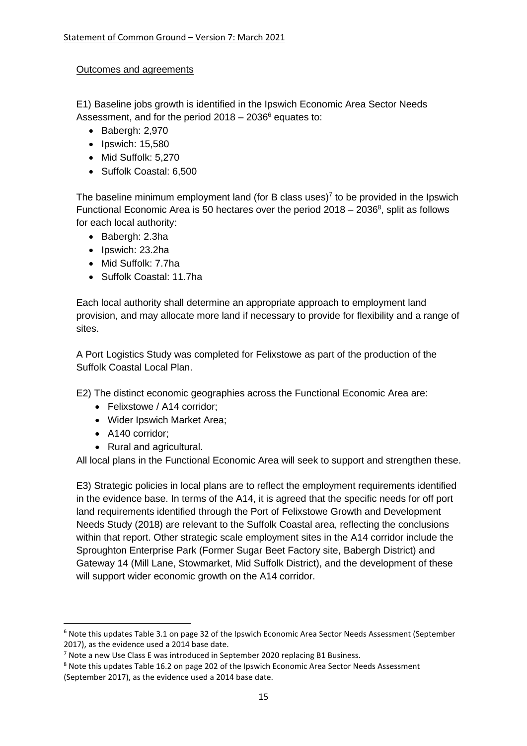### Outcomes and agreements

E1) Baseline jobs growth is identified in the Ipswich Economic Area Sector Needs Assessment, and for the period  $2018 - 2036^6$  equates to:

- Babergh: 2,970
- Ipswich: 15,580
- Mid Suffolk: 5,270
- Suffolk Coastal: 6,500

The baseline minimum employment land (for B class uses)<sup>7</sup> to be provided in the Ipswich Functional Economic Area is 50 hectares over the period  $2018 - 2036^8$ , split as follows for each local authority:

- Babergh: 2.3ha
- Ipswich: 23.2ha
- Mid Suffolk: 7.7ha
- Suffolk Coastal: 11.7ha

Each local authority shall determine an appropriate approach to employment land provision, and may allocate more land if necessary to provide for flexibility and a range of sites.

A Port Logistics Study was completed for Felixstowe as part of the production of the Suffolk Coastal Local Plan.

E2) The distinct economic geographies across the Functional Economic Area are:

- Felixstowe / A14 corridor;
- Wider Ipswich Market Area;
- A140 corridor;
- Rural and agricultural.

All local plans in the Functional Economic Area will seek to support and strengthen these.

E3) Strategic policies in local plans are to reflect the employment requirements identified in the evidence base. In terms of the A14, it is agreed that the specific needs for off port land requirements identified through the Port of Felixstowe Growth and Development Needs Study (2018) are relevant to the Suffolk Coastal area, reflecting the conclusions within that report. Other strategic scale employment sites in the A14 corridor include the Sproughton Enterprise Park (Former Sugar Beet Factory site, Babergh District) and Gateway 14 (Mill Lane, Stowmarket, Mid Suffolk District), and the development of these will support wider economic growth on the A14 corridor.

<sup>6</sup> Note this updates Table 3.1 on page 32 of the Ipswich Economic Area Sector Needs Assessment (September 2017), as the evidence used a 2014 base date.

<sup>&</sup>lt;sup>7</sup> Note a new Use Class E was introduced in September 2020 replacing B1 Business.

<sup>8</sup> Note this updates Table 16.2 on page 202 of the Ipswich Economic Area Sector Needs Assessment (September 2017), as the evidence used a 2014 base date.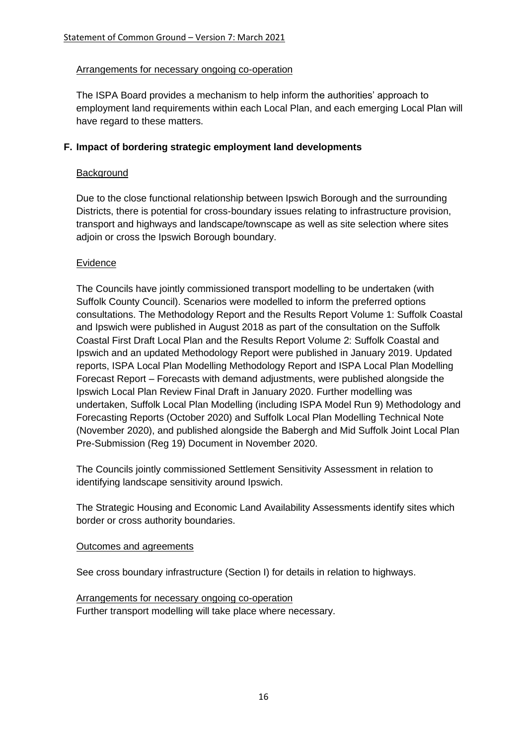#### Arrangements for necessary ongoing co-operation

The ISPA Board provides a mechanism to help inform the authorities' approach to employment land requirements within each Local Plan, and each emerging Local Plan will have regard to these matters.

### **F. Impact of bordering strategic employment land developments**

#### **Background**

Due to the close functional relationship between Ipswich Borough and the surrounding Districts, there is potential for cross-boundary issues relating to infrastructure provision, transport and highways and landscape/townscape as well as site selection where sites adjoin or cross the Ipswich Borough boundary.

### Evidence

The Councils have jointly commissioned transport modelling to be undertaken (with Suffolk County Council). Scenarios were modelled to inform the preferred options consultations. The Methodology Report and the Results Report Volume 1: Suffolk Coastal and Ipswich were published in August 2018 as part of the consultation on the Suffolk Coastal First Draft Local Plan and the Results Report Volume 2: Suffolk Coastal and Ipswich and an updated Methodology Report were published in January 2019. Updated reports, ISPA Local Plan Modelling Methodology Report and ISPA Local Plan Modelling Forecast Report – Forecasts with demand adjustments, were published alongside the Ipswich Local Plan Review Final Draft in January 2020. Further modelling was undertaken, Suffolk Local Plan Modelling (including ISPA Model Run 9) Methodology and Forecasting Reports (October 2020) and Suffolk Local Plan Modelling Technical Note (November 2020), and published alongside the Babergh and Mid Suffolk Joint Local Plan Pre-Submission (Reg 19) Document in November 2020.

The Councils jointly commissioned Settlement Sensitivity Assessment in relation to identifying landscape sensitivity around Ipswich.

The Strategic Housing and Economic Land Availability Assessments identify sites which border or cross authority boundaries.

#### Outcomes and agreements

See cross boundary infrastructure (Section I) for details in relation to highways.

Arrangements for necessary ongoing co-operation Further transport modelling will take place where necessary.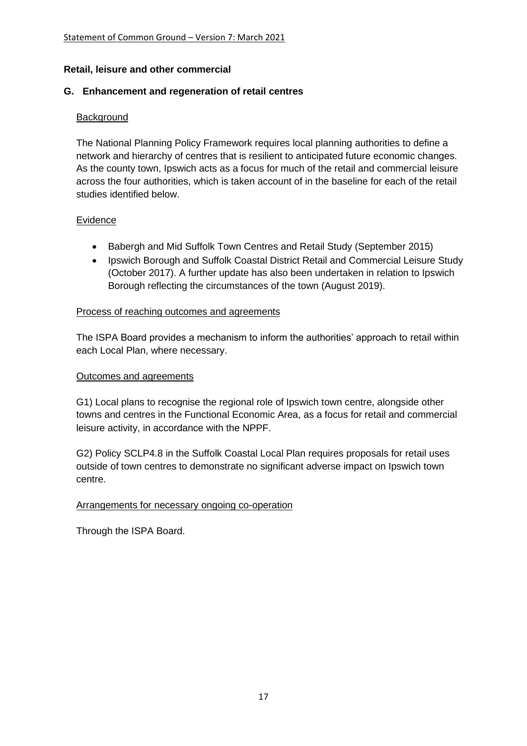#### **Retail, leisure and other commercial**

### **G. Enhancement and regeneration of retail centres**

### **Background**

The National Planning Policy Framework requires local planning authorities to define a network and hierarchy of centres that is resilient to anticipated future economic changes. As the county town, Ipswich acts as a focus for much of the retail and commercial leisure across the four authorities, which is taken account of in the baseline for each of the retail studies identified below.

#### Evidence

- Babergh and Mid Suffolk Town Centres and Retail Study (September 2015)
- Ipswich Borough and Suffolk Coastal District Retail and Commercial Leisure Study (October 2017). A further update has also been undertaken in relation to Ipswich Borough reflecting the circumstances of the town (August 2019).

#### Process of reaching outcomes and agreements

The ISPA Board provides a mechanism to inform the authorities' approach to retail within each Local Plan, where necessary.

#### Outcomes and agreements

G1) Local plans to recognise the regional role of Ipswich town centre, alongside other towns and centres in the Functional Economic Area, as a focus for retail and commercial leisure activity, in accordance with the NPPF.

G2) Policy SCLP4.8 in the Suffolk Coastal Local Plan requires proposals for retail uses outside of town centres to demonstrate no significant adverse impact on Ipswich town centre.

## Arrangements for necessary ongoing co-operation

Through the ISPA Board.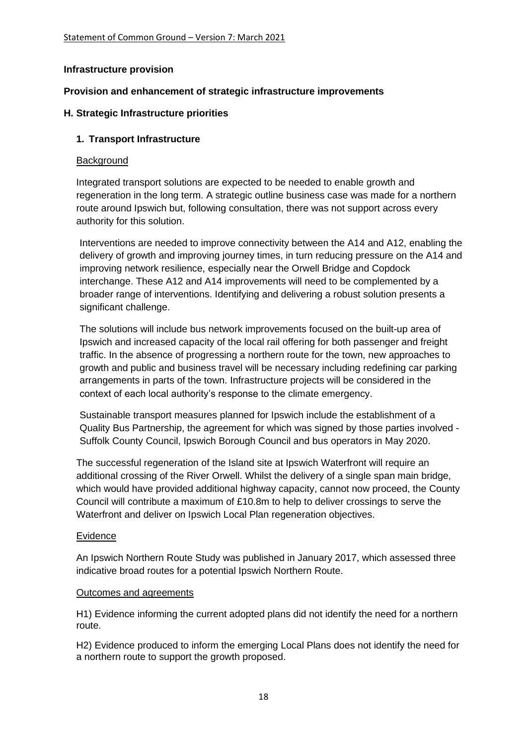### **Infrastructure provision**

### **Provision and enhancement of strategic infrastructure improvements**

### **H. Strategic Infrastructure priorities**

### **1. Transport Infrastructure**

#### **Background**

Integrated transport solutions are expected to be needed to enable growth and regeneration in the long term. A strategic outline business case was made for a northern route around Ipswich but, following consultation, there was not support across every authority for this solution.

Interventions are needed to improve connectivity between the A14 and A12, enabling the delivery of growth and improving journey times, in turn reducing pressure on the A14 and improving network resilience, especially near the Orwell Bridge and Copdock interchange. These A12 and A14 improvements will need to be complemented by a broader range of interventions. Identifying and delivering a robust solution presents a significant challenge.

The solutions will include bus network improvements focused on the built-up area of Ipswich and increased capacity of the local rail offering for both passenger and freight traffic. In the absence of progressing a northern route for the town, new approaches to growth and public and business travel will be necessary including redefining car parking arrangements in parts of the town. Infrastructure projects will be considered in the context of each local authority's response to the climate emergency.

Sustainable transport measures planned for Ipswich include the establishment of a Quality Bus Partnership, the agreement for which was signed by those parties involved - Suffolk County Council, Ipswich Borough Council and bus operators in May 2020.

The successful regeneration of the Island site at Ipswich Waterfront will require an additional crossing of the River Orwell. Whilst the delivery of a single span main bridge, which would have provided additional highway capacity, cannot now proceed, the County Council will contribute a maximum of £10.8m to help to deliver crossings to serve the Waterfront and deliver on Ipswich Local Plan regeneration objectives.

#### Evidence

An Ipswich Northern Route Study was published in January 2017, which assessed three indicative broad routes for a potential Ipswich Northern Route.

#### Outcomes and agreements

H1) Evidence informing the current adopted plans did not identify the need for a northern route.

H2) Evidence produced to inform the emerging Local Plans does not identify the need for a northern route to support the growth proposed.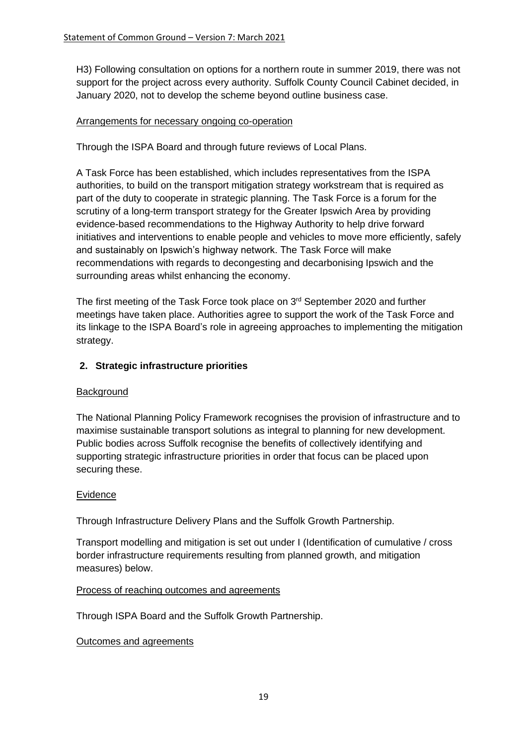H3) Following consultation on options for a northern route in summer 2019, there was not support for the project across every authority. Suffolk County Council Cabinet decided, in January 2020, not to develop the scheme beyond outline business case.

### Arrangements for necessary ongoing co-operation

Through the ISPA Board and through future reviews of Local Plans.

A Task Force has been established, which includes representatives from the ISPA authorities, to build on the transport mitigation strategy workstream that is required as part of the duty to cooperate in strategic planning. The Task Force is a forum for the scrutiny of a long-term transport strategy for the Greater Ipswich Area by providing evidence-based recommendations to the Highway Authority to help drive forward initiatives and interventions to enable people and vehicles to move more efficiently, safely and sustainably on Ipswich's highway network. The Task Force will make recommendations with regards to decongesting and decarbonising Ipswich and the surrounding areas whilst enhancing the economy.

The first meeting of the Task Force took place on 3<sup>rd</sup> September 2020 and further meetings have taken place. Authorities agree to support the work of the Task Force and its linkage to the ISPA Board's role in agreeing approaches to implementing the mitigation strategy.

### **2. Strategic infrastructure priorities**

#### **Background**

The National Planning Policy Framework recognises the provision of infrastructure and to maximise sustainable transport solutions as integral to planning for new development. Public bodies across Suffolk recognise the benefits of collectively identifying and supporting strategic infrastructure priorities in order that focus can be placed upon securing these.

#### Evidence

Through Infrastructure Delivery Plans and the Suffolk Growth Partnership.

Transport modelling and mitigation is set out under I (Identification of cumulative / cross border infrastructure requirements resulting from planned growth, and mitigation measures) below.

#### Process of reaching outcomes and agreements

Through ISPA Board and the Suffolk Growth Partnership.

#### Outcomes and agreements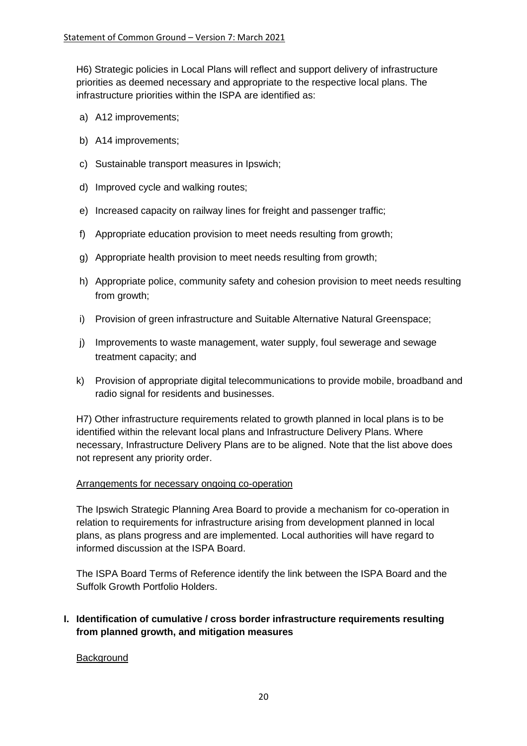H6) Strategic policies in Local Plans will reflect and support delivery of infrastructure priorities as deemed necessary and appropriate to the respective local plans. The infrastructure priorities within the ISPA are identified as:

- a) A12 improvements;
- b) A14 improvements;
- c) Sustainable transport measures in Ipswich;
- d) Improved cycle and walking routes;
- e) Increased capacity on railway lines for freight and passenger traffic;
- f) Appropriate education provision to meet needs resulting from growth;
- g) Appropriate health provision to meet needs resulting from growth;
- h) Appropriate police, community safety and cohesion provision to meet needs resulting from growth;
- i) Provision of green infrastructure and Suitable Alternative Natural Greenspace;
- j) Improvements to waste management, water supply, foul sewerage and sewage treatment capacity; and
- k) Provision of appropriate digital telecommunications to provide mobile, broadband and radio signal for residents and businesses.

H7) Other infrastructure requirements related to growth planned in local plans is to be identified within the relevant local plans and Infrastructure Delivery Plans. Where necessary, Infrastructure Delivery Plans are to be aligned. Note that the list above does not represent any priority order.

#### Arrangements for necessary ongoing co-operation

The Ipswich Strategic Planning Area Board to provide a mechanism for co-operation in relation to requirements for infrastructure arising from development planned in local plans, as plans progress and are implemented. Local authorities will have regard to informed discussion at the ISPA Board.

The ISPA Board Terms of Reference identify the link between the ISPA Board and the Suffolk Growth Portfolio Holders.

## **I. Identification of cumulative / cross border infrastructure requirements resulting from planned growth, and mitigation measures**

#### **Background**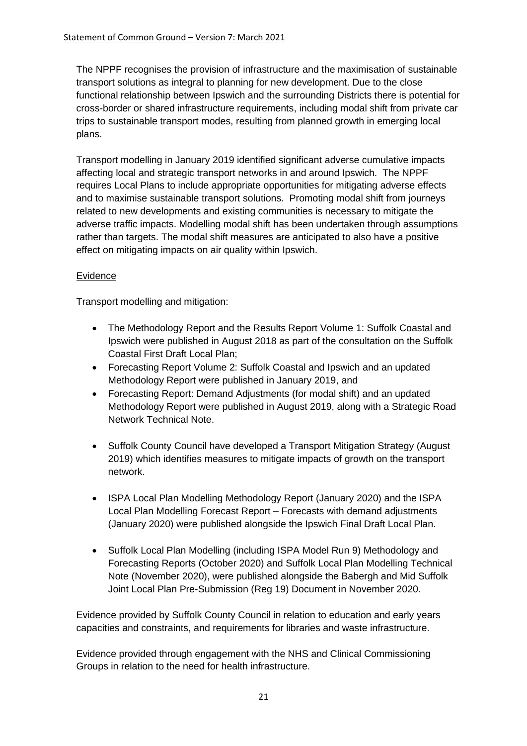The NPPF recognises the provision of infrastructure and the maximisation of sustainable transport solutions as integral to planning for new development. Due to the close functional relationship between Ipswich and the surrounding Districts there is potential for cross-border or shared infrastructure requirements, including modal shift from private car trips to sustainable transport modes, resulting from planned growth in emerging local plans.

Transport modelling in January 2019 identified significant adverse cumulative impacts affecting local and strategic transport networks in and around Ipswich. The NPPF requires Local Plans to include appropriate opportunities for mitigating adverse effects and to maximise sustainable transport solutions. Promoting modal shift from journeys related to new developments and existing communities is necessary to mitigate the adverse traffic impacts. Modelling modal shift has been undertaken through assumptions rather than targets. The modal shift measures are anticipated to also have a positive effect on mitigating impacts on air quality within Ipswich.

## Evidence

Transport modelling and mitigation:

- The Methodology Report and the Results Report Volume 1: Suffolk Coastal and Ipswich were published in August 2018 as part of the consultation on the Suffolk Coastal First Draft Local Plan;
- Forecasting Report Volume 2: Suffolk Coastal and Ipswich and an updated Methodology Report were published in January 2019, and
- Forecasting Report: Demand Adjustments (for modal shift) and an updated Methodology Report were published in August 2019, along with a Strategic Road Network Technical Note.
- Suffolk County Council have developed a Transport Mitigation Strategy (August 2019) which identifies measures to mitigate impacts of growth on the transport network.
- ISPA Local Plan Modelling Methodology Report (January 2020) and the ISPA Local Plan Modelling Forecast Report – Forecasts with demand adjustments (January 2020) were published alongside the Ipswich Final Draft Local Plan.
- Suffolk Local Plan Modelling (including ISPA Model Run 9) Methodology and Forecasting Reports (October 2020) and Suffolk Local Plan Modelling Technical Note (November 2020), were published alongside the Babergh and Mid Suffolk Joint Local Plan Pre-Submission (Reg 19) Document in November 2020.

Evidence provided by Suffolk County Council in relation to education and early years capacities and constraints, and requirements for libraries and waste infrastructure.

Evidence provided through engagement with the NHS and Clinical Commissioning Groups in relation to the need for health infrastructure.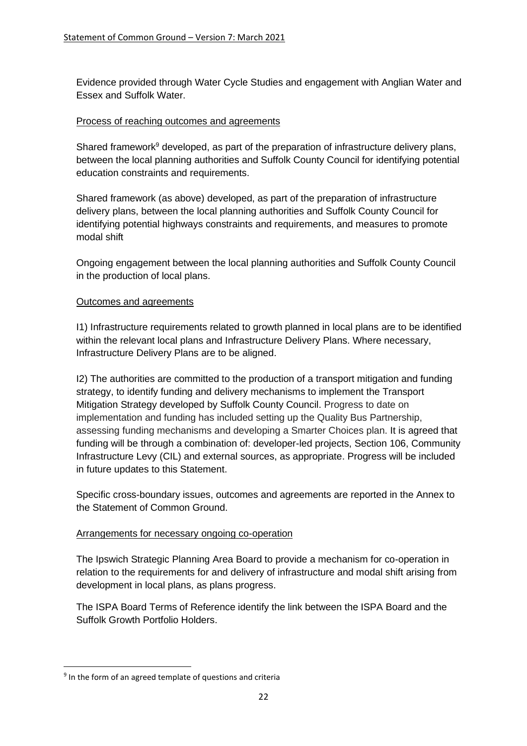Evidence provided through Water Cycle Studies and engagement with Anglian Water and Essex and Suffolk Water.

### Process of reaching outcomes and agreements

Shared framework<sup>9</sup> developed, as part of the preparation of infrastructure delivery plans, between the local planning authorities and Suffolk County Council for identifying potential education constraints and requirements.

Shared framework (as above) developed, as part of the preparation of infrastructure delivery plans, between the local planning authorities and Suffolk County Council for identifying potential highways constraints and requirements, and measures to promote modal shift

Ongoing engagement between the local planning authorities and Suffolk County Council in the production of local plans.

### Outcomes and agreements

I1) Infrastructure requirements related to growth planned in local plans are to be identified within the relevant local plans and Infrastructure Delivery Plans. Where necessary, Infrastructure Delivery Plans are to be aligned.

I2) The authorities are committed to the production of a transport mitigation and funding strategy, to identify funding and delivery mechanisms to implement the Transport Mitigation Strategy developed by Suffolk County Council. Progress to date on implementation and funding has included setting up the Quality Bus Partnership, assessing funding mechanisms and developing a Smarter Choices plan. It is agreed that funding will be through a combination of: developer-led projects, Section 106, Community Infrastructure Levy (CIL) and external sources, as appropriate. Progress will be included in future updates to this Statement.

Specific cross-boundary issues, outcomes and agreements are reported in the Annex to the Statement of Common Ground.

## Arrangements for necessary ongoing co-operation

The Ipswich Strategic Planning Area Board to provide a mechanism for co-operation in relation to the requirements for and delivery of infrastructure and modal shift arising from development in local plans, as plans progress.

The ISPA Board Terms of Reference identify the link between the ISPA Board and the Suffolk Growth Portfolio Holders.

<sup>&</sup>lt;sup>9</sup> In the form of an agreed template of questions and criteria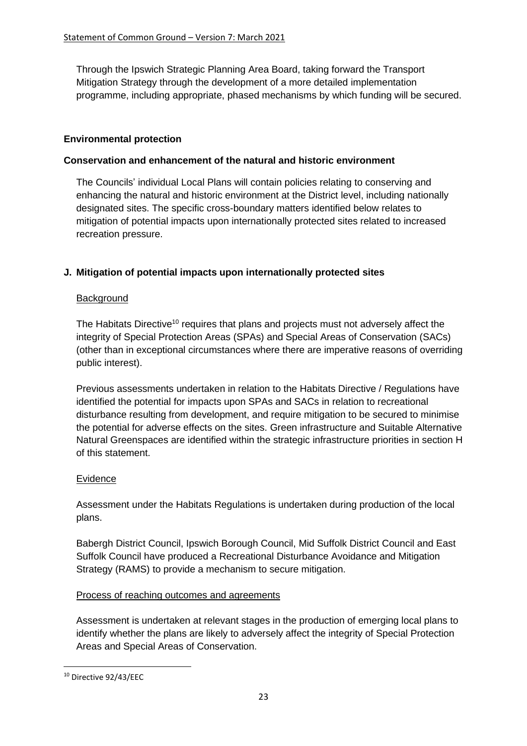Through the Ipswich Strategic Planning Area Board, taking forward the Transport Mitigation Strategy through the development of a more detailed implementation programme, including appropriate, phased mechanisms by which funding will be secured.

### **Environmental protection**

### **Conservation and enhancement of the natural and historic environment**

The Councils' individual Local Plans will contain policies relating to conserving and enhancing the natural and historic environment at the District level, including nationally designated sites. The specific cross-boundary matters identified below relates to mitigation of potential impacts upon internationally protected sites related to increased recreation pressure.

## **J. Mitigation of potential impacts upon internationally protected sites**

#### **Background**

The Habitats Directive<sup>10</sup> requires that plans and projects must not adversely affect the integrity of Special Protection Areas (SPAs) and Special Areas of Conservation (SACs) (other than in exceptional circumstances where there are imperative reasons of overriding public interest).

Previous assessments undertaken in relation to the Habitats Directive / Regulations have identified the potential for impacts upon SPAs and SACs in relation to recreational disturbance resulting from development, and require mitigation to be secured to minimise the potential for adverse effects on the sites. Green infrastructure and Suitable Alternative Natural Greenspaces are identified within the strategic infrastructure priorities in section H of this statement.

#### Evidence

Assessment under the Habitats Regulations is undertaken during production of the local plans.

Babergh District Council, Ipswich Borough Council, Mid Suffolk District Council and East Suffolk Council have produced a Recreational Disturbance Avoidance and Mitigation Strategy (RAMS) to provide a mechanism to secure mitigation.

#### Process of reaching outcomes and agreements

Assessment is undertaken at relevant stages in the production of emerging local plans to identify whether the plans are likely to adversely affect the integrity of Special Protection Areas and Special Areas of Conservation.

<sup>10</sup> Directive 92/43/EEC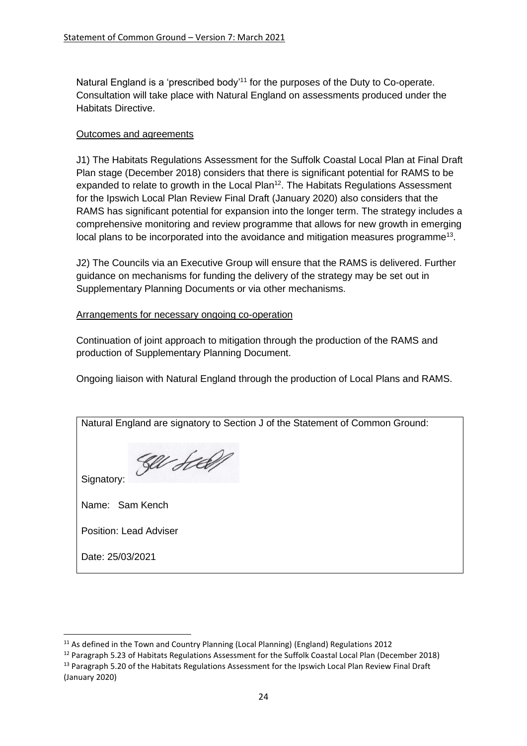Natural England is a 'prescribed body'<sup>11</sup> for the purposes of the Duty to Co-operate. Consultation will take place with Natural England on assessments produced under the Habitats Directive.

#### Outcomes and agreements

J1) The Habitats Regulations Assessment for the Suffolk Coastal Local Plan at Final Draft Plan stage (December 2018) considers that there is significant potential for RAMS to be expanded to relate to growth in the Local Plan<sup>12</sup>. The Habitats Regulations Assessment for the Ipswich Local Plan Review Final Draft (January 2020) also considers that the RAMS has significant potential for expansion into the longer term. The strategy includes a comprehensive monitoring and review programme that allows for new growth in emerging local plans to be incorporated into the avoidance and mitigation measures programme<sup>13</sup>.

J2) The Councils via an Executive Group will ensure that the RAMS is delivered. Further guidance on mechanisms for funding the delivery of the strategy may be set out in Supplementary Planning Documents or via other mechanisms.

### Arrangements for necessary ongoing co-operation

Continuation of joint approach to mitigation through the production of the RAMS and production of Supplementary Planning Document.

Ongoing liaison with Natural England through the production of Local Plans and RAMS.

| Natural England are signatory to Section J of the Statement of Common Ground: |
|-------------------------------------------------------------------------------|
|                                                                               |
| Signatory:                                                                    |
| Name: Sam Kench                                                               |
| <b>Position: Lead Adviser</b>                                                 |
| Date: 25/03/2021                                                              |

<sup>&</sup>lt;sup>11</sup> As defined in the Town and Country Planning (Local Planning) (England) Regulations 2012

<sup>&</sup>lt;sup>12</sup> Paragraph 5.23 of Habitats Regulations Assessment for the Suffolk Coastal Local Plan (December 2018) <sup>13</sup> Paragraph 5.20 of the Habitats Regulations Assessment for the Ipswich Local Plan Review Final Draft (January 2020)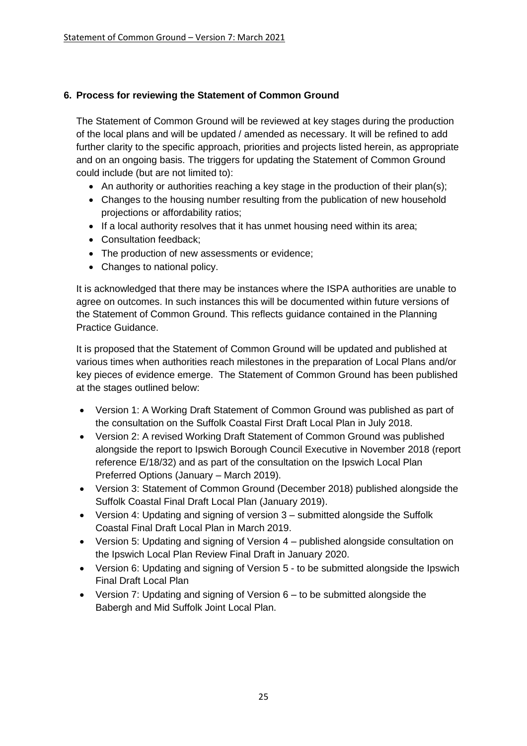## **6. Process for reviewing the Statement of Common Ground**

The Statement of Common Ground will be reviewed at key stages during the production of the local plans and will be updated / amended as necessary. It will be refined to add further clarity to the specific approach, priorities and projects listed herein, as appropriate and on an ongoing basis. The triggers for updating the Statement of Common Ground could include (but are not limited to):

- An authority or authorities reaching a key stage in the production of their plan(s);
- Changes to the housing number resulting from the publication of new household projections or affordability ratios;
- If a local authority resolves that it has unmet housing need within its area;
- Consultation feedback;
- The production of new assessments or evidence:
- Changes to national policy.

It is acknowledged that there may be instances where the ISPA authorities are unable to agree on outcomes. In such instances this will be documented within future versions of the Statement of Common Ground. This reflects guidance contained in the Planning Practice Guidance.

It is proposed that the Statement of Common Ground will be updated and published at various times when authorities reach milestones in the preparation of Local Plans and/or key pieces of evidence emerge. The Statement of Common Ground has been published at the stages outlined below:

- Version 1: A Working Draft Statement of Common Ground was published as part of the consultation on the Suffolk Coastal First Draft Local Plan in July 2018.
- Version 2: A revised Working Draft Statement of Common Ground was published alongside the report to Ipswich Borough Council Executive in November 2018 (report reference E/18/32) and as part of the consultation on the Ipswich Local Plan Preferred Options (January – March 2019).
- Version 3: Statement of Common Ground (December 2018) published alongside the Suffolk Coastal Final Draft Local Plan (January 2019).
- Version 4: Updating and signing of version 3 submitted alongside the Suffolk Coastal Final Draft Local Plan in March 2019.
- Version 5: Updating and signing of Version 4 published alongside consultation on the Ipswich Local Plan Review Final Draft in January 2020.
- Version 6: Updating and signing of Version 5 to be submitted alongside the Ipswich Final Draft Local Plan
- Version 7: Updating and signing of Version 6 to be submitted alongside the Babergh and Mid Suffolk Joint Local Plan.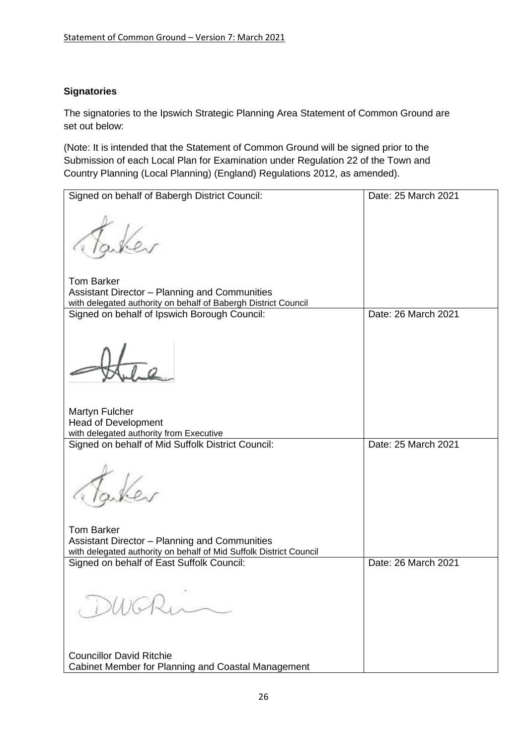## **Signatories**

The signatories to the Ipswich Strategic Planning Area Statement of Common Ground are set out below:

(Note: It is intended that the Statement of Common Ground will be signed prior to the Submission of each Local Plan for Examination under Regulation 22 of the Town and Country Planning (Local Planning) (England) Regulations 2012, as amended).

| Signed on behalf of Babergh District Council:                                                                                        | Date: 25 March 2021 |
|--------------------------------------------------------------------------------------------------------------------------------------|---------------------|
|                                                                                                                                      |                     |
| <b>Tom Barker</b><br>Assistant Director - Planning and Communities<br>with delegated authority on behalf of Babergh District Council |                     |
| Signed on behalf of Ipswich Borough Council:                                                                                         | Date: 26 March 2021 |
|                                                                                                                                      |                     |
| Martyn Fulcher                                                                                                                       |                     |
| <b>Head of Development</b><br>with delegated authority from Executive                                                                |                     |
| Signed on behalf of Mid Suffolk District Council:                                                                                    | Date: 25 March 2021 |
|                                                                                                                                      |                     |
| <b>Tom Barker</b>                                                                                                                    |                     |
| Assistant Director - Planning and Communities                                                                                        |                     |
| with delegated authority on behalf of Mid Suffolk District Council<br>Signed on behalf of East Suffolk Council:                      | Date: 26 March 2021 |
| DWGRu                                                                                                                                |                     |
| <b>Councillor David Ritchie</b>                                                                                                      |                     |
| Cabinet Member for Planning and Coastal Management                                                                                   |                     |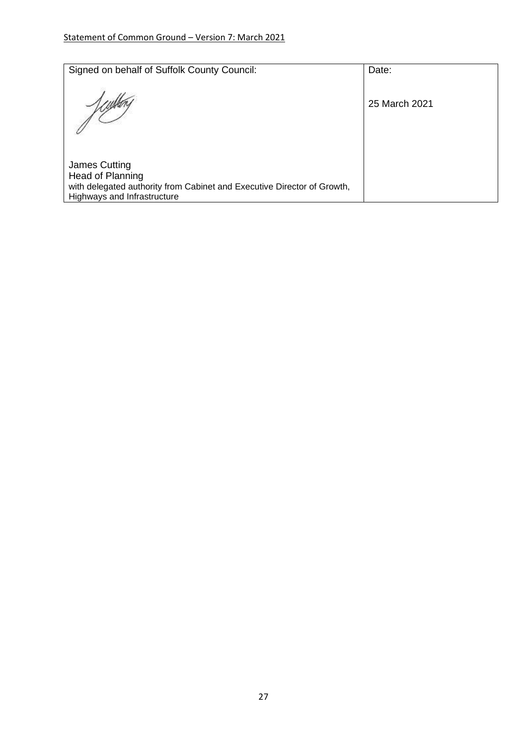| Signed on behalf of Suffolk County Council:                                                                                                 | Date:         |
|---------------------------------------------------------------------------------------------------------------------------------------------|---------------|
|                                                                                                                                             | 25 March 2021 |
| James Cutting<br>Head of Planning<br>with delegated authority from Cabinet and Executive Director of Growth,<br>Highways and Infrastructure |               |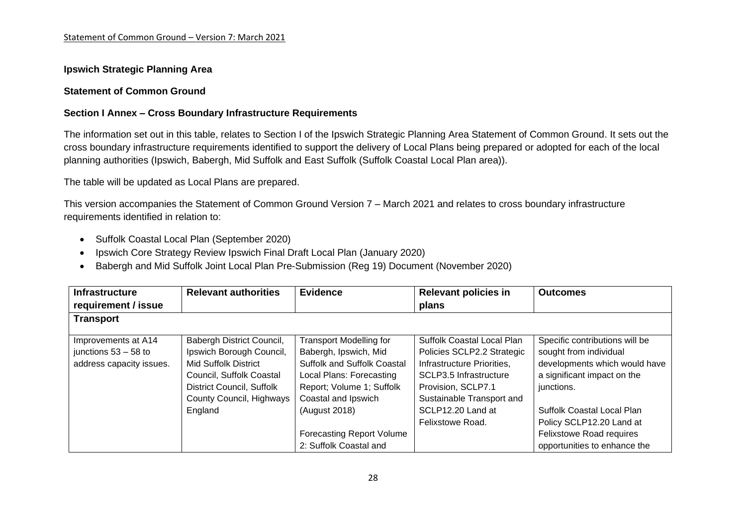#### **Ipswich Strategic Planning Area**

#### **Statement of Common Ground**

#### **Section I Annex – Cross Boundary Infrastructure Requirements**

The information set out in this table, relates to Section I of the Ipswich Strategic Planning Area Statement of Common Ground. It sets out the cross boundary infrastructure requirements identified to support the delivery of Local Plans being prepared or adopted for each of the local planning authorities (Ipswich, Babergh, Mid Suffolk and East Suffolk (Suffolk Coastal Local Plan area)).

The table will be updated as Local Plans are prepared.

This version accompanies the Statement of Common Ground Version 7 – March 2021 and relates to cross boundary infrastructure requirements identified in relation to:

- Suffolk Coastal Local Plan (September 2020)
- Ipswich Core Strategy Review Ipswich Final Draft Local Plan (January 2020)
- Babergh and Mid Suffolk Joint Local Plan Pre-Submission (Reg 19) Document (November 2020)

| <b>Infrastructure</b><br>requirement / issue | <b>Relevant authorities</b> | <b>Evidence</b>                    | <b>Relevant policies in</b><br>plans | <b>Outcomes</b>                 |
|----------------------------------------------|-----------------------------|------------------------------------|--------------------------------------|---------------------------------|
| <b>Transport</b>                             |                             |                                    |                                      |                                 |
|                                              |                             |                                    |                                      |                                 |
| Improvements at A14                          | Babergh District Council,   | <b>Transport Modelling for</b>     | Suffolk Coastal Local Plan           | Specific contributions will be  |
| junctions $53 - 58$ to                       | Ipswich Borough Council,    | Babergh, Ipswich, Mid              | Policies SCLP2.2 Strategic           | sought from individual          |
| address capacity issues.                     | Mid Suffolk District        | <b>Suffolk and Suffolk Coastal</b> | Infrastructure Priorities,           | developments which would have   |
|                                              | Council, Suffolk Coastal    | <b>Local Plans: Forecasting</b>    | SCLP3.5 Infrastructure               | a significant impact on the     |
|                                              | District Council, Suffolk   | Report; Volume 1; Suffolk          | Provision, SCLP7.1                   | junctions.                      |
|                                              | County Council, Highways    | Coastal and Ipswich                | Sustainable Transport and            |                                 |
|                                              | England                     | (August 2018)                      | SCLP12.20 Land at                    | Suffolk Coastal Local Plan      |
|                                              |                             |                                    | Felixstowe Road.                     | Policy SCLP12.20 Land at        |
|                                              |                             | <b>Forecasting Report Volume</b>   |                                      | <b>Felixstowe Road requires</b> |
|                                              |                             | 2: Suffolk Coastal and             |                                      | opportunities to enhance the    |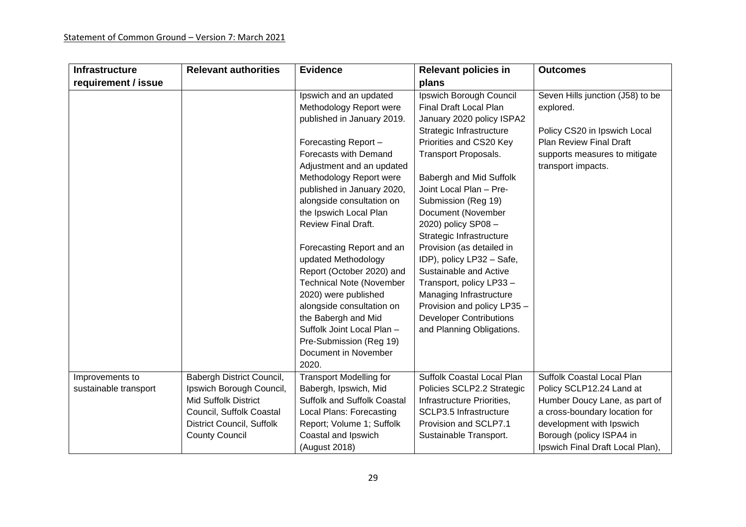| <b>Infrastructure</b>                    | <b>Relevant authorities</b>                                                                                                                                                   | <b>Evidence</b>                                                                                                                                                                                                                                                                                                                                                                                                                                                                                                                                                                             | <b>Relevant policies in</b>                                                                                                                                                                                                                                                                                                                                                                                                                                                                                                                                       | <b>Outcomes</b>                                                                                                                                                                                                      |
|------------------------------------------|-------------------------------------------------------------------------------------------------------------------------------------------------------------------------------|---------------------------------------------------------------------------------------------------------------------------------------------------------------------------------------------------------------------------------------------------------------------------------------------------------------------------------------------------------------------------------------------------------------------------------------------------------------------------------------------------------------------------------------------------------------------------------------------|-------------------------------------------------------------------------------------------------------------------------------------------------------------------------------------------------------------------------------------------------------------------------------------------------------------------------------------------------------------------------------------------------------------------------------------------------------------------------------------------------------------------------------------------------------------------|----------------------------------------------------------------------------------------------------------------------------------------------------------------------------------------------------------------------|
| requirement / issue                      |                                                                                                                                                                               |                                                                                                                                                                                                                                                                                                                                                                                                                                                                                                                                                                                             | plans                                                                                                                                                                                                                                                                                                                                                                                                                                                                                                                                                             |                                                                                                                                                                                                                      |
|                                          |                                                                                                                                                                               | Ipswich and an updated<br>Methodology Report were<br>published in January 2019.<br>Forecasting Report-<br>Forecasts with Demand<br>Adjustment and an updated<br>Methodology Report were<br>published in January 2020,<br>alongside consultation on<br>the Ipswich Local Plan<br><b>Review Final Draft.</b><br>Forecasting Report and an<br>updated Methodology<br>Report (October 2020) and<br><b>Technical Note (November</b><br>2020) were published<br>alongside consultation on<br>the Babergh and Mid<br>Suffolk Joint Local Plan -<br>Pre-Submission (Reg 19)<br>Document in November | Ipswich Borough Council<br>Final Draft Local Plan<br>January 2020 policy ISPA2<br>Strategic Infrastructure<br>Priorities and CS20 Key<br><b>Transport Proposals.</b><br>Babergh and Mid Suffolk<br>Joint Local Plan - Pre-<br>Submission (Reg 19)<br>Document (November<br>2020) policy SP08-<br>Strategic Infrastructure<br>Provision (as detailed in<br>IDP), policy LP32 - Safe,<br>Sustainable and Active<br>Transport, policy LP33-<br>Managing Infrastructure<br>Provision and policy LP35 -<br><b>Developer Contributions</b><br>and Planning Obligations. | Seven Hills junction (J58) to be<br>explored.<br>Policy CS20 in Ipswich Local<br><b>Plan Review Final Draft</b><br>supports measures to mitigate<br>transport impacts.                                               |
|                                          |                                                                                                                                                                               | 2020.                                                                                                                                                                                                                                                                                                                                                                                                                                                                                                                                                                                       |                                                                                                                                                                                                                                                                                                                                                                                                                                                                                                                                                                   |                                                                                                                                                                                                                      |
| Improvements to<br>sustainable transport | Babergh District Council,<br>Ipswich Borough Council,<br><b>Mid Suffolk District</b><br>Council, Suffolk Coastal<br><b>District Council, Suffolk</b><br><b>County Council</b> | <b>Transport Modelling for</b><br>Babergh, Ipswich, Mid<br><b>Suffolk and Suffolk Coastal</b><br>Local Plans: Forecasting<br>Report; Volume 1; Suffolk<br>Coastal and Ipswich<br>(August 2018)                                                                                                                                                                                                                                                                                                                                                                                              | Suffolk Coastal Local Plan<br>Policies SCLP2.2 Strategic<br>Infrastructure Priorities,<br>SCLP3.5 Infrastructure<br>Provision and SCLP7.1<br>Sustainable Transport.                                                                                                                                                                                                                                                                                                                                                                                               | Suffolk Coastal Local Plan<br>Policy SCLP12.24 Land at<br>Humber Doucy Lane, as part of<br>a cross-boundary location for<br>development with Ipswich<br>Borough (policy ISPA4 in<br>Ipswich Final Draft Local Plan), |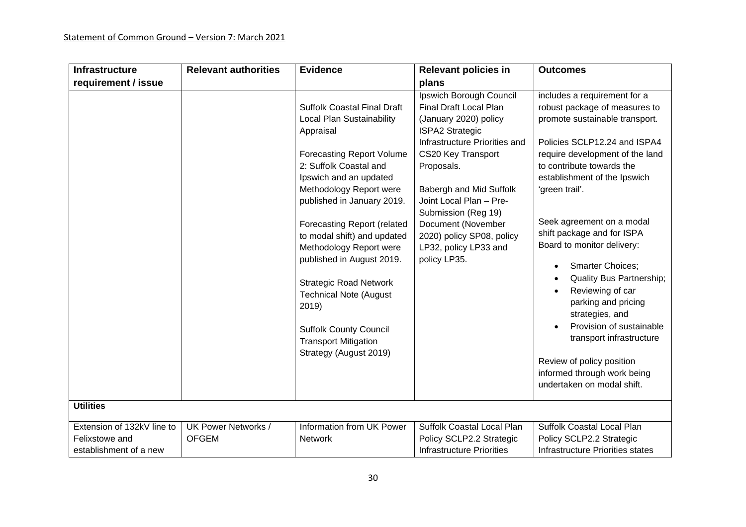| <b>Infrastructure</b>                                                  | <b>Relevant authorities</b>         | <b>Evidence</b>                                                                                                                                                                                                                                                                                                                                                                                                                                                                                                                 | <b>Relevant policies in</b>                                                                                                                                                                                                                                                                                                                        | <b>Outcomes</b>                                                                                                                                                                                                                                                                                                                                                                                                                                                                                                                                                                                                                       |
|------------------------------------------------------------------------|-------------------------------------|---------------------------------------------------------------------------------------------------------------------------------------------------------------------------------------------------------------------------------------------------------------------------------------------------------------------------------------------------------------------------------------------------------------------------------------------------------------------------------------------------------------------------------|----------------------------------------------------------------------------------------------------------------------------------------------------------------------------------------------------------------------------------------------------------------------------------------------------------------------------------------------------|---------------------------------------------------------------------------------------------------------------------------------------------------------------------------------------------------------------------------------------------------------------------------------------------------------------------------------------------------------------------------------------------------------------------------------------------------------------------------------------------------------------------------------------------------------------------------------------------------------------------------------------|
| requirement / issue                                                    |                                     |                                                                                                                                                                                                                                                                                                                                                                                                                                                                                                                                 | plans                                                                                                                                                                                                                                                                                                                                              |                                                                                                                                                                                                                                                                                                                                                                                                                                                                                                                                                                                                                                       |
|                                                                        |                                     | <b>Suffolk Coastal Final Draft</b><br>Local Plan Sustainability<br>Appraisal<br><b>Forecasting Report Volume</b><br>2: Suffolk Coastal and<br>Ipswich and an updated<br>Methodology Report were<br>published in January 2019.<br><b>Forecasting Report (related</b><br>to modal shift) and updated<br>Methodology Report were<br>published in August 2019.<br><b>Strategic Road Network</b><br><b>Technical Note (August</b><br>2019)<br><b>Suffolk County Council</b><br><b>Transport Mitigation</b><br>Strategy (August 2019) | Ipswich Borough Council<br>Final Draft Local Plan<br>(January 2020) policy<br><b>ISPA2 Strategic</b><br>Infrastructure Priorities and<br>CS20 Key Transport<br>Proposals.<br>Babergh and Mid Suffolk<br>Joint Local Plan - Pre-<br>Submission (Reg 19)<br>Document (November<br>2020) policy SP08, policy<br>LP32, policy LP33 and<br>policy LP35. | includes a requirement for a<br>robust package of measures to<br>promote sustainable transport.<br>Policies SCLP12.24 and ISPA4<br>require development of the land<br>to contribute towards the<br>establishment of the Ipswich<br>'green trail'.<br>Seek agreement on a modal<br>shift package and for ISPA<br>Board to monitor delivery:<br><b>Smarter Choices;</b><br>$\bullet$<br><b>Quality Bus Partnership;</b><br>Reviewing of car<br>parking and pricing<br>strategies, and<br>Provision of sustainable<br>transport infrastructure<br>Review of policy position<br>informed through work being<br>undertaken on modal shift. |
| <b>Utilities</b>                                                       |                                     |                                                                                                                                                                                                                                                                                                                                                                                                                                                                                                                                 |                                                                                                                                                                                                                                                                                                                                                    |                                                                                                                                                                                                                                                                                                                                                                                                                                                                                                                                                                                                                                       |
| Extension of 132kV line to<br>Felixstowe and<br>establishment of a new | UK Power Networks /<br><b>OFGEM</b> | Information from UK Power<br>Network                                                                                                                                                                                                                                                                                                                                                                                                                                                                                            | Suffolk Coastal Local Plan<br>Policy SCLP2.2 Strategic<br><b>Infrastructure Priorities</b>                                                                                                                                                                                                                                                         | Suffolk Coastal Local Plan<br>Policy SCLP2.2 Strategic<br>Infrastructure Priorities states                                                                                                                                                                                                                                                                                                                                                                                                                                                                                                                                            |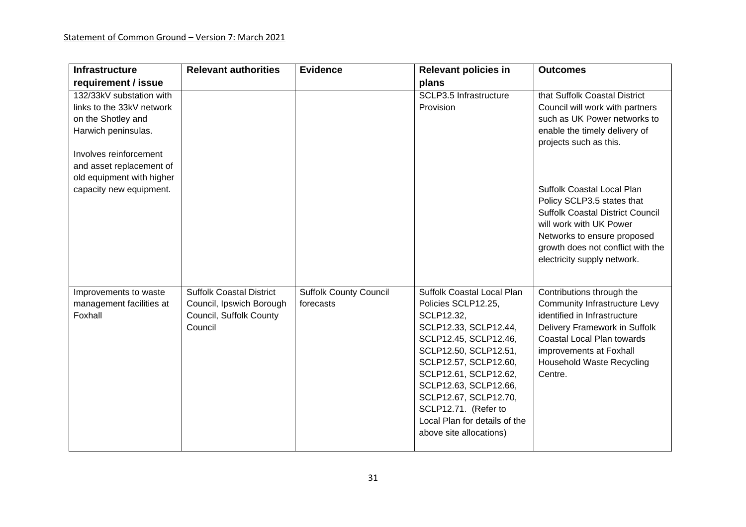| <b>Infrastructure</b>                                                                                                                                    | <b>Relevant authorities</b>                                                                       | <b>Evidence</b>                            | <b>Relevant policies in</b>                                                                                                                                                                                                                                                                                                        | <b>Outcomes</b>                                                                                                                                                                                                                            |
|----------------------------------------------------------------------------------------------------------------------------------------------------------|---------------------------------------------------------------------------------------------------|--------------------------------------------|------------------------------------------------------------------------------------------------------------------------------------------------------------------------------------------------------------------------------------------------------------------------------------------------------------------------------------|--------------------------------------------------------------------------------------------------------------------------------------------------------------------------------------------------------------------------------------------|
| requirement / issue                                                                                                                                      |                                                                                                   |                                            | plans                                                                                                                                                                                                                                                                                                                              |                                                                                                                                                                                                                                            |
| 132/33kV substation with<br>links to the 33kV network<br>on the Shotley and<br>Harwich peninsulas.<br>Involves reinforcement<br>and asset replacement of |                                                                                                   |                                            | SCLP3.5 Infrastructure<br>Provision                                                                                                                                                                                                                                                                                                | that Suffolk Coastal District<br>Council will work with partners<br>such as UK Power networks to<br>enable the timely delivery of<br>projects such as this.                                                                                |
| old equipment with higher<br>capacity new equipment.                                                                                                     |                                                                                                   |                                            |                                                                                                                                                                                                                                                                                                                                    | <b>Suffolk Coastal Local Plan</b><br>Policy SCLP3.5 states that<br><b>Suffolk Coastal District Council</b><br>will work with UK Power<br>Networks to ensure proposed<br>growth does not conflict with the<br>electricity supply network.   |
| Improvements to waste<br>management facilities at<br>Foxhall                                                                                             | <b>Suffolk Coastal District</b><br>Council, Ipswich Borough<br>Council, Suffolk County<br>Council | <b>Suffolk County Council</b><br>forecasts | Suffolk Coastal Local Plan<br>Policies SCLP12.25,<br>SCLP12.32,<br>SCLP12.33, SCLP12.44,<br>SCLP12.45, SCLP12.46,<br>SCLP12.50, SCLP12.51,<br>SCLP12.57, SCLP12.60,<br>SCLP12.61, SCLP12.62,<br>SCLP12.63, SCLP12.66,<br>SCLP12.67, SCLP12.70,<br>SCLP12.71. (Refer to<br>Local Plan for details of the<br>above site allocations) | Contributions through the<br><b>Community Infrastructure Levy</b><br>identified in Infrastructure<br>Delivery Framework in Suffolk<br>Coastal Local Plan towards<br>improvements at Foxhall<br><b>Household Waste Recycling</b><br>Centre. |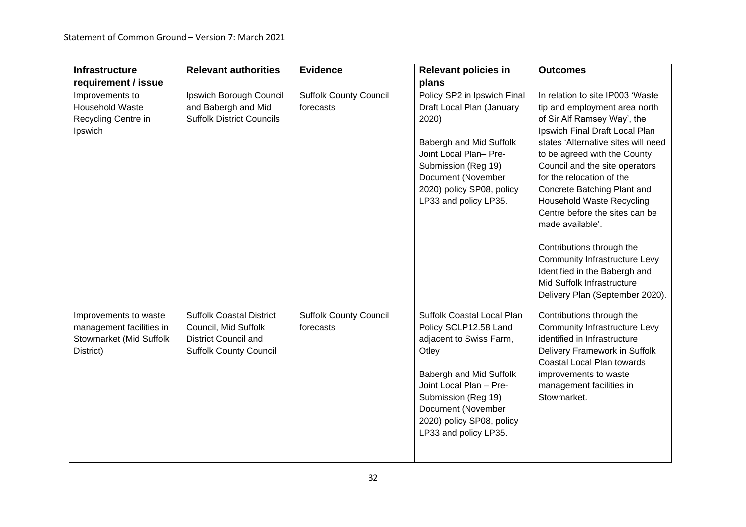| <b>Infrastructure</b>                                                                     | <b>Relevant authorities</b>                                                                                             | <b>Evidence</b>                            | <b>Relevant policies in</b>                                                                                                                                                                                                                      | <b>Outcomes</b>                                                                                                                                                                                                                                                                                                                                                                                                                                                                                                                                                          |
|-------------------------------------------------------------------------------------------|-------------------------------------------------------------------------------------------------------------------------|--------------------------------------------|--------------------------------------------------------------------------------------------------------------------------------------------------------------------------------------------------------------------------------------------------|--------------------------------------------------------------------------------------------------------------------------------------------------------------------------------------------------------------------------------------------------------------------------------------------------------------------------------------------------------------------------------------------------------------------------------------------------------------------------------------------------------------------------------------------------------------------------|
| requirement / issue                                                                       |                                                                                                                         |                                            | plans                                                                                                                                                                                                                                            |                                                                                                                                                                                                                                                                                                                                                                                                                                                                                                                                                                          |
| Improvements to<br><b>Household Waste</b><br>Recycling Centre in<br>Ipswich               | Ipswich Borough Council<br>and Babergh and Mid<br><b>Suffolk District Councils</b>                                      | <b>Suffolk County Council</b><br>forecasts | Policy SP2 in Ipswich Final<br>Draft Local Plan (January<br>2020)<br>Babergh and Mid Suffolk<br>Joint Local Plan- Pre-<br>Submission (Reg 19)<br>Document (November<br>2020) policy SP08, policy<br>LP33 and policy LP35.                        | In relation to site IP003 'Waste<br>tip and employment area north<br>of Sir Alf Ramsey Way', the<br>Ipswich Final Draft Local Plan<br>states 'Alternative sites will need<br>to be agreed with the County<br>Council and the site operators<br>for the relocation of the<br>Concrete Batching Plant and<br><b>Household Waste Recycling</b><br>Centre before the sites can be<br>made available'.<br>Contributions through the<br><b>Community Infrastructure Levy</b><br>Identified in the Babergh and<br>Mid Suffolk Infrastructure<br>Delivery Plan (September 2020). |
| Improvements to waste<br>management facilities in<br>Stowmarket (Mid Suffolk<br>District) | <b>Suffolk Coastal District</b><br>Council, Mid Suffolk<br><b>District Council and</b><br><b>Suffolk County Council</b> | <b>Suffolk County Council</b><br>forecasts | Suffolk Coastal Local Plan<br>Policy SCLP12.58 Land<br>adjacent to Swiss Farm,<br>Otley<br>Babergh and Mid Suffolk<br>Joint Local Plan - Pre-<br>Submission (Reg 19)<br>Document (November<br>2020) policy SP08, policy<br>LP33 and policy LP35. | Contributions through the<br><b>Community Infrastructure Levy</b><br>identified in Infrastructure<br>Delivery Framework in Suffolk<br>Coastal Local Plan towards<br>improvements to waste<br>management facilities in<br>Stowmarket.                                                                                                                                                                                                                                                                                                                                     |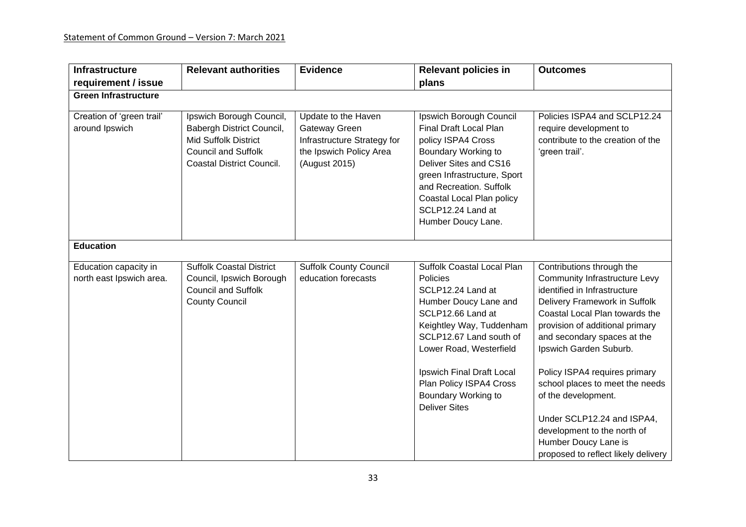| <b>Infrastructure</b>                              | <b>Relevant authorities</b>                                                                                                                     | <b>Evidence</b>                                                                                                 | <b>Relevant policies in</b>                                                                                                                                                                                                                                                                        | <b>Outcomes</b>                                                                                                                                                                                                                                                                                                                                                                                                                                                                         |
|----------------------------------------------------|-------------------------------------------------------------------------------------------------------------------------------------------------|-----------------------------------------------------------------------------------------------------------------|----------------------------------------------------------------------------------------------------------------------------------------------------------------------------------------------------------------------------------------------------------------------------------------------------|-----------------------------------------------------------------------------------------------------------------------------------------------------------------------------------------------------------------------------------------------------------------------------------------------------------------------------------------------------------------------------------------------------------------------------------------------------------------------------------------|
| requirement / issue<br><b>Green Infrastructure</b> |                                                                                                                                                 |                                                                                                                 | plans                                                                                                                                                                                                                                                                                              |                                                                                                                                                                                                                                                                                                                                                                                                                                                                                         |
|                                                    |                                                                                                                                                 |                                                                                                                 |                                                                                                                                                                                                                                                                                                    |                                                                                                                                                                                                                                                                                                                                                                                                                                                                                         |
| Creation of 'green trail'<br>around Ipswich        | Ipswich Borough Council,<br>Babergh District Council,<br><b>Mid Suffolk District</b><br><b>Council and Suffolk</b><br>Coastal District Council. | Update to the Haven<br>Gateway Green<br>Infrastructure Strategy for<br>the Ipswich Policy Area<br>(August 2015) | Ipswich Borough Council<br><b>Final Draft Local Plan</b><br>policy ISPA4 Cross<br>Boundary Working to<br>Deliver Sites and CS16<br>green Infrastructure, Sport<br>and Recreation. Suffolk<br>Coastal Local Plan policy<br>SCLP12.24 Land at<br>Humber Doucy Lane.                                  | Policies ISPA4 and SCLP12.24<br>require development to<br>contribute to the creation of the<br>'green trail'.                                                                                                                                                                                                                                                                                                                                                                           |
| <b>Education</b>                                   |                                                                                                                                                 |                                                                                                                 |                                                                                                                                                                                                                                                                                                    |                                                                                                                                                                                                                                                                                                                                                                                                                                                                                         |
| Education capacity in<br>north east Ipswich area.  | <b>Suffolk Coastal District</b><br>Council, Ipswich Borough<br><b>Council and Suffolk</b><br><b>County Council</b>                              | <b>Suffolk County Council</b><br>education forecasts                                                            | Suffolk Coastal Local Plan<br>Policies<br>SCLP12.24 Land at<br>Humber Doucy Lane and<br>SCLP12.66 Land at<br>Keightley Way, Tuddenham<br>SCLP12.67 Land south of<br>Lower Road, Westerfield<br>Ipswich Final Draft Local<br>Plan Policy ISPA4 Cross<br>Boundary Working to<br><b>Deliver Sites</b> | Contributions through the<br><b>Community Infrastructure Levy</b><br>identified in Infrastructure<br>Delivery Framework in Suffolk<br>Coastal Local Plan towards the<br>provision of additional primary<br>and secondary spaces at the<br>Ipswich Garden Suburb.<br>Policy ISPA4 requires primary<br>school places to meet the needs<br>of the development.<br>Under SCLP12.24 and ISPA4,<br>development to the north of<br>Humber Doucy Lane is<br>proposed to reflect likely delivery |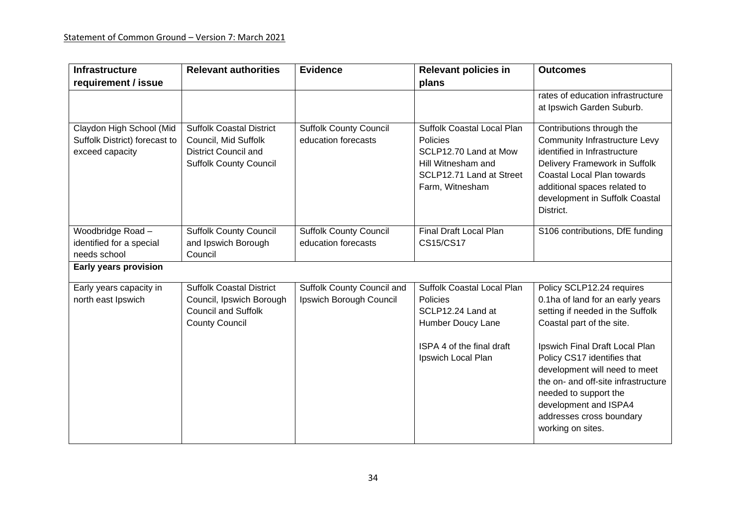| <b>Infrastructure</b>                                                        | <b>Relevant authorities</b>                                                                                             | <b>Evidence</b>                                       | <b>Relevant policies in</b>                                                                                                                 | <b>Outcomes</b>                                                                                                                                                                                                                                                                                                                                                            |
|------------------------------------------------------------------------------|-------------------------------------------------------------------------------------------------------------------------|-------------------------------------------------------|---------------------------------------------------------------------------------------------------------------------------------------------|----------------------------------------------------------------------------------------------------------------------------------------------------------------------------------------------------------------------------------------------------------------------------------------------------------------------------------------------------------------------------|
| requirement / issue                                                          |                                                                                                                         |                                                       | plans                                                                                                                                       |                                                                                                                                                                                                                                                                                                                                                                            |
|                                                                              |                                                                                                                         |                                                       |                                                                                                                                             | rates of education infrastructure<br>at Ipswich Garden Suburb.                                                                                                                                                                                                                                                                                                             |
| Claydon High School (Mid<br>Suffolk District) forecast to<br>exceed capacity | <b>Suffolk Coastal District</b><br>Council, Mid Suffolk<br><b>District Council and</b><br><b>Suffolk County Council</b> | <b>Suffolk County Council</b><br>education forecasts  | <b>Suffolk Coastal Local Plan</b><br>Policies<br>SCLP12.70 Land at Mow<br>Hill Witnesham and<br>SCLP12.71 Land at Street<br>Farm, Witnesham | Contributions through the<br><b>Community Infrastructure Levy</b><br>identified in Infrastructure<br>Delivery Framework in Suffolk<br>Coastal Local Plan towards<br>additional spaces related to<br>development in Suffolk Coastal<br>District.                                                                                                                            |
| Woodbridge Road-<br>identified for a special<br>needs school                 | <b>Suffolk County Council</b><br>and Ipswich Borough<br>Council                                                         | <b>Suffolk County Council</b><br>education forecasts  | Final Draft Local Plan<br><b>CS15/CS17</b>                                                                                                  | S106 contributions, DfE funding                                                                                                                                                                                                                                                                                                                                            |
| Early years provision                                                        |                                                                                                                         |                                                       |                                                                                                                                             |                                                                                                                                                                                                                                                                                                                                                                            |
| Early years capacity in<br>north east Ipswich                                | <b>Suffolk Coastal District</b><br>Council, Ipswich Borough<br><b>Council and Suffolk</b><br><b>County Council</b>      | Suffolk County Council and<br>Ipswich Borough Council | Suffolk Coastal Local Plan<br>Policies<br>SCLP12.24 Land at<br>Humber Doucy Lane<br>ISPA 4 of the final draft<br>Ipswich Local Plan         | Policy SCLP12.24 requires<br>0.1ha of land for an early years<br>setting if needed in the Suffolk<br>Coastal part of the site.<br>Ipswich Final Draft Local Plan<br>Policy CS17 identifies that<br>development will need to meet<br>the on- and off-site infrastructure<br>needed to support the<br>development and ISPA4<br>addresses cross boundary<br>working on sites. |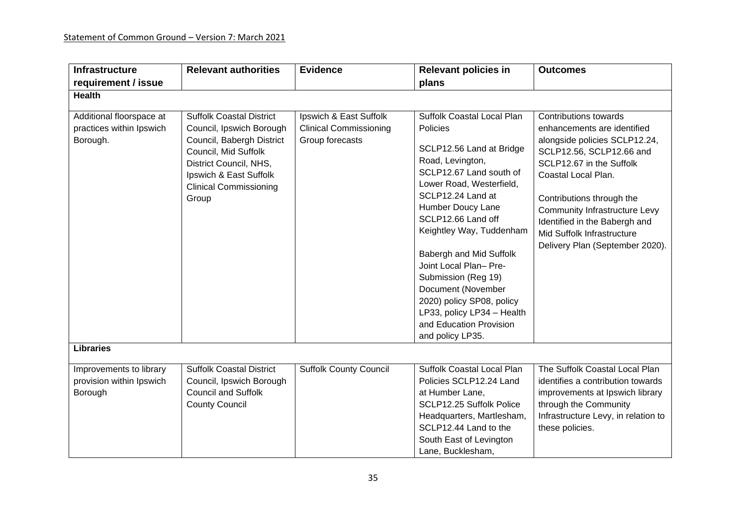| <b>Infrastructure</b>                                            | <b>Relevant authorities</b>                                                                                                                                                                                    | <b>Evidence</b>                                                            | <b>Relevant policies in</b>                                                                                                                                                                                                                                                                                                                                                                                                                           | <b>Outcomes</b>                                                                                                                                                                                                                                                                                                                             |
|------------------------------------------------------------------|----------------------------------------------------------------------------------------------------------------------------------------------------------------------------------------------------------------|----------------------------------------------------------------------------|-------------------------------------------------------------------------------------------------------------------------------------------------------------------------------------------------------------------------------------------------------------------------------------------------------------------------------------------------------------------------------------------------------------------------------------------------------|---------------------------------------------------------------------------------------------------------------------------------------------------------------------------------------------------------------------------------------------------------------------------------------------------------------------------------------------|
| requirement / issue                                              |                                                                                                                                                                                                                |                                                                            | plans                                                                                                                                                                                                                                                                                                                                                                                                                                                 |                                                                                                                                                                                                                                                                                                                                             |
| <b>Health</b>                                                    |                                                                                                                                                                                                                |                                                                            |                                                                                                                                                                                                                                                                                                                                                                                                                                                       |                                                                                                                                                                                                                                                                                                                                             |
| Additional floorspace at<br>practices within Ipswich<br>Borough. | <b>Suffolk Coastal District</b><br>Council, Ipswich Borough<br>Council, Babergh District<br>Council, Mid Suffolk<br>District Council, NHS,<br>Ipswich & East Suffolk<br><b>Clinical Commissioning</b><br>Group | Ipswich & East Suffolk<br><b>Clinical Commissioning</b><br>Group forecasts | Suffolk Coastal Local Plan<br>Policies<br>SCLP12.56 Land at Bridge<br>Road, Levington,<br>SCLP12.67 Land south of<br>Lower Road, Westerfield,<br>SCLP12.24 Land at<br>Humber Doucy Lane<br>SCLP12.66 Land off<br>Keightley Way, Tuddenham<br>Babergh and Mid Suffolk<br>Joint Local Plan- Pre-<br>Submission (Reg 19)<br>Document (November<br>2020) policy SP08, policy<br>LP33, policy LP34 - Health<br>and Education Provision<br>and policy LP35. | Contributions towards<br>enhancements are identified<br>alongside policies SCLP12.24,<br>SCLP12.56, SCLP12.66 and<br>SCLP12.67 in the Suffolk<br>Coastal Local Plan.<br>Contributions through the<br><b>Community Infrastructure Levy</b><br>Identified in the Babergh and<br>Mid Suffolk Infrastructure<br>Delivery Plan (September 2020). |
| <b>Libraries</b>                                                 |                                                                                                                                                                                                                |                                                                            |                                                                                                                                                                                                                                                                                                                                                                                                                                                       |                                                                                                                                                                                                                                                                                                                                             |
| Improvements to library<br>provision within Ipswich<br>Borough   | <b>Suffolk Coastal District</b><br>Council, Ipswich Borough<br><b>Council and Suffolk</b><br><b>County Council</b>                                                                                             | <b>Suffolk County Council</b>                                              | Suffolk Coastal Local Plan<br>Policies SCLP12.24 Land<br>at Humber Lane,<br>SCLP12.25 Suffolk Police<br>Headquarters, Martlesham,<br>SCLP12.44 Land to the<br>South East of Levington<br>Lane, Bucklesham,                                                                                                                                                                                                                                            | The Suffolk Coastal Local Plan<br>identifies a contribution towards<br>improvements at Ipswich library<br>through the Community<br>Infrastructure Levy, in relation to<br>these policies.                                                                                                                                                   |